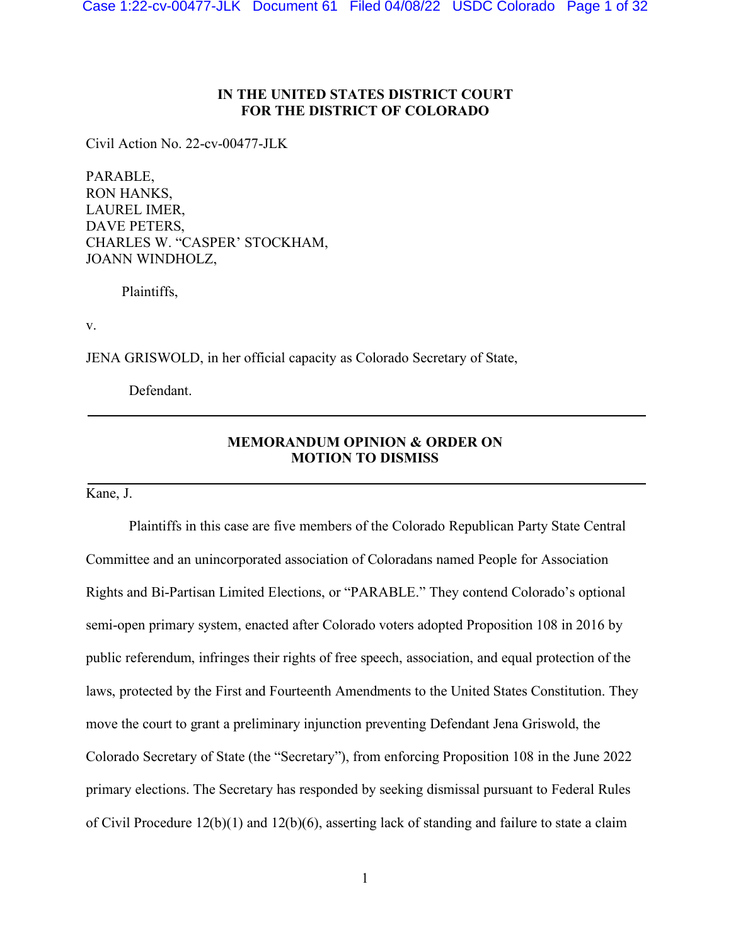# **IN THE UNITED STATES DISTRICT COURT FOR THE DISTRICT OF COLORADO**

Civil Action No. 22-cv-00477-JLK

PARABLE, RON HANKS, LAUREL IMER, DAVE PETERS, CHARLES W. "CASPER' STOCKHAM, JOANN WINDHOLZ,

Plaintiffs,

v.

JENA GRISWOLD, in her official capacity as Colorado Secretary of State,

Defendant.

# **MEMORANDUM OPINION & ORDER ON MOTION TO DISMISS**

Kane, J.

Plaintiffs in this case are five members of the Colorado Republican Party State Central Committee and an unincorporated association of Coloradans named People for Association Rights and Bi-Partisan Limited Elections, or "PARABLE." They contend Colorado's optional semi-open primary system, enacted after Colorado voters adopted Proposition 108 in 2016 by public referendum, infringes their rights of free speech, association, and equal protection of the laws, protected by the First and Fourteenth Amendments to the United States Constitution. They move the court to grant a preliminary injunction preventing Defendant Jena Griswold, the Colorado Secretary of State (the "Secretary"), from enforcing Proposition 108 in the June 2022 primary elections. The Secretary has responded by seeking dismissal pursuant to Federal Rules of Civil Procedure 12(b)(1) and 12(b)(6), asserting lack of standing and failure to state a claim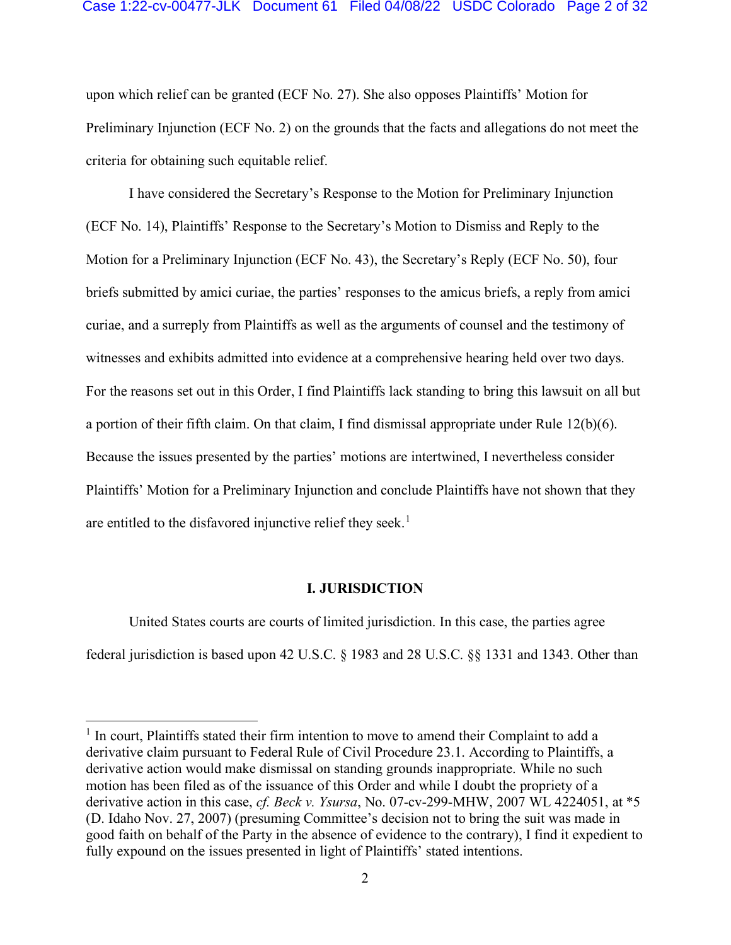### Case 1:22-cv-00477-JLK Document 61 Filed 04/08/22 USDC Colorado Page 2 of 32

upon which relief can be granted (ECF No. 27). She also opposes Plaintiffs' Motion for Preliminary Injunction (ECF No. 2) on the grounds that the facts and allegations do not meet the criteria for obtaining such equitable relief.

I have considered the Secretary's Response to the Motion for Preliminary Injunction (ECF No. 14), Plaintiffs' Response to the Secretary's Motion to Dismiss and Reply to the Motion for a Preliminary Injunction (ECF No. 43), the Secretary's Reply (ECF No. 50), four briefs submitted by amici curiae, the parties' responses to the amicus briefs, a reply from amici curiae, and a surreply from Plaintiffs as well as the arguments of counsel and the testimony of witnesses and exhibits admitted into evidence at a comprehensive hearing held over two days. For the reasons set out in this Order, I find Plaintiffs lack standing to bring this lawsuit on all but a portion of their fifth claim. On that claim, I find dismissal appropriate under Rule 12(b)(6). Because the issues presented by the parties' motions are intertwined, I nevertheless consider Plaintiffs' Motion for a Preliminary Injunction and conclude Plaintiffs have not shown that they are entitled to the disfavored injunctive relief they seek.<sup>1</sup>

#### **I. JURISDICTION**

United States courts are courts of limited jurisdiction. In this case, the parties agree federal jurisdiction is based upon 42 U.S.C. § 1983 and 28 U.S.C. §§ 1331 and 1343. Other than

 $<sup>1</sup>$  In court, Plaintiffs stated their firm intention to move to amend their Complaint to add a</sup> derivative claim pursuant to Federal Rule of Civil Procedure 23.1. According to Plaintiffs, a derivative action would make dismissal on standing grounds inappropriate. While no such motion has been filed as of the issuance of this Order and while I doubt the propriety of a derivative action in this case, *cf. Beck v. Ysursa*, No. 07-cv-299-MHW, 2007 WL 4224051, at \*5 (D. Idaho Nov. 27, 2007) (presuming Committee's decision not to bring the suit was made in good faith on behalf of the Party in the absence of evidence to the contrary), I find it expedient to fully expound on the issues presented in light of Plaintiffs' stated intentions.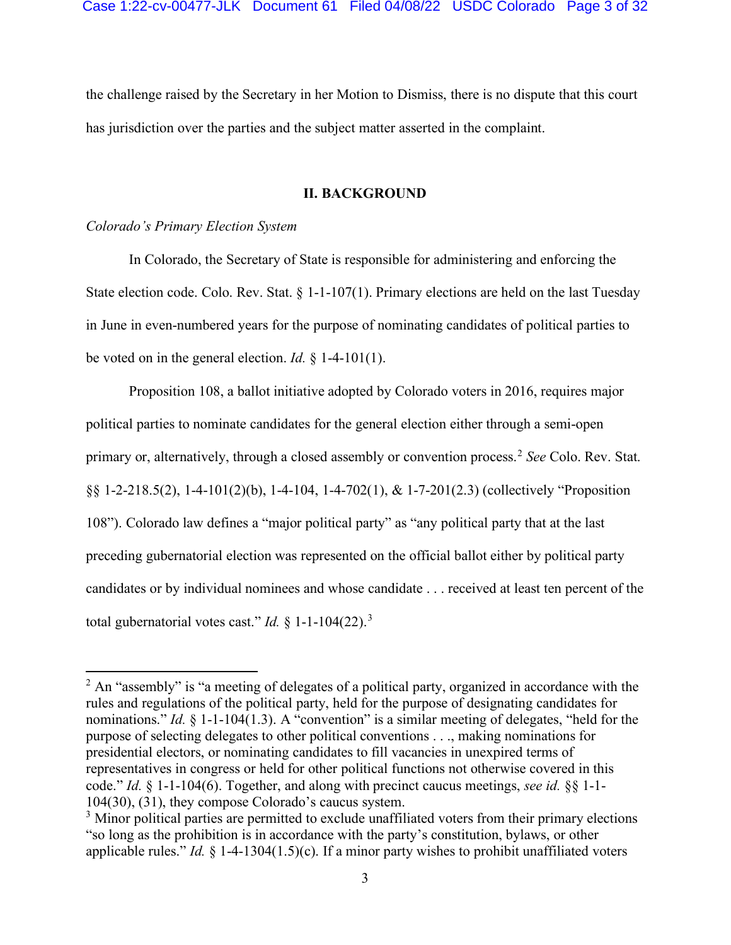the challenge raised by the Secretary in her Motion to Dismiss, there is no dispute that this court has jurisdiction over the parties and the subject matter asserted in the complaint.

## **II. BACKGROUND**

### *Colorado's Primary Election System*

In Colorado, the Secretary of State is responsible for administering and enforcing the State election code. Colo. Rev. Stat. § 1-1-107(1). Primary elections are held on the last Tuesday in June in even-numbered years for the purpose of nominating candidates of political parties to be voted on in the general election. *Id.* § 1-4-101(1).

Proposition 108, a ballot initiative adopted by Colorado voters in 2016, requires major political parties to nominate candidates for the general election either through a semi-open primary or, alternatively, through a closed assembly or convention process.<sup>2</sup> *See* Colo. Rev. Stat. §§ 1-2-218.5(2), 1-4-101(2)(b), 1-4-104, 1-4-702(1), & 1-7-201(2.3) (collectively "Proposition 108"). Colorado law defines a "major political party" as "any political party that at the last preceding gubernatorial election was represented on the official ballot either by political party candidates or by individual nominees and whose candidate . . . received at least ten percent of the total gubernatorial votes cast." *Id.*  $\frac{1}{2}$  1-1-104(22).<sup>3</sup>

 $2$  An "assembly" is "a meeting of delegates of a political party, organized in accordance with the rules and regulations of the political party, held for the purpose of designating candidates for nominations." *Id.* § 1-1-104(1.3). A "convention" is a similar meeting of delegates, "held for the purpose of selecting delegates to other political conventions . . ., making nominations for presidential electors, or nominating candidates to fill vacancies in unexpired terms of representatives in congress or held for other political functions not otherwise covered in this code." *Id.* § 1-1-104(6). Together, and along with precinct caucus meetings, *see id.* §§ 1-1- 104(30), (31), they compose Colorado's caucus system.

<sup>&</sup>lt;sup>3</sup> Minor political parties are permitted to exclude unaffiliated voters from their primary elections "so long as the prohibition is in accordance with the party's constitution, bylaws, or other applicable rules." *Id.* § 1-4-1304(1.5)(c). If a minor party wishes to prohibit unaffiliated voters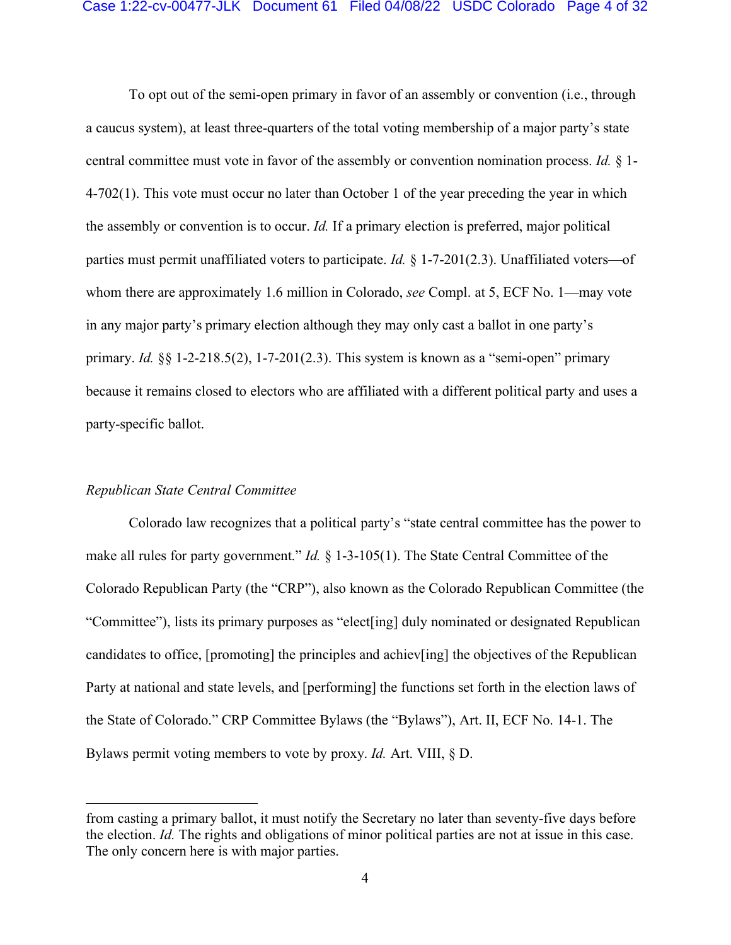To opt out of the semi-open primary in favor of an assembly or convention (i.e., through a caucus system), at least three-quarters of the total voting membership of a major party's state central committee must vote in favor of the assembly or convention nomination process. *Id.* § 1- 4-702(1). This vote must occur no later than October 1 of the year preceding the year in which the assembly or convention is to occur. *Id.* If a primary election is preferred, major political parties must permit unaffiliated voters to participate. *Id.* § 1-7-201(2.3). Unaffiliated voters—of whom there are approximately 1.6 million in Colorado, *see* Compl. at 5, ECF No. 1—may vote in any major party's primary election although they may only cast a ballot in one party's primary. *Id.* §§ 1-2-218.5(2), 1-7-201(2.3). This system is known as a "semi-open" primary because it remains closed to electors who are affiliated with a different political party and uses a party-specific ballot.

## *Republican State Central Committee*

Colorado law recognizes that a political party's "state central committee has the power to make all rules for party government." *Id.* § 1-3-105(1). The State Central Committee of the Colorado Republican Party (the "CRP"), also known as the Colorado Republican Committee (the "Committee"), lists its primary purposes as "elect[ing] duly nominated or designated Republican candidates to office, [promoting] the principles and achiev[ing] the objectives of the Republican Party at national and state levels, and [performing] the functions set forth in the election laws of the State of Colorado." CRP Committee Bylaws (the "Bylaws"), Art. II, ECF No. 14-1. The Bylaws permit voting members to vote by proxy. *Id.* Art. VIII, § D.

from casting a primary ballot, it must notify the Secretary no later than seventy-five days before the election. *Id.* The rights and obligations of minor political parties are not at issue in this case. The only concern here is with major parties.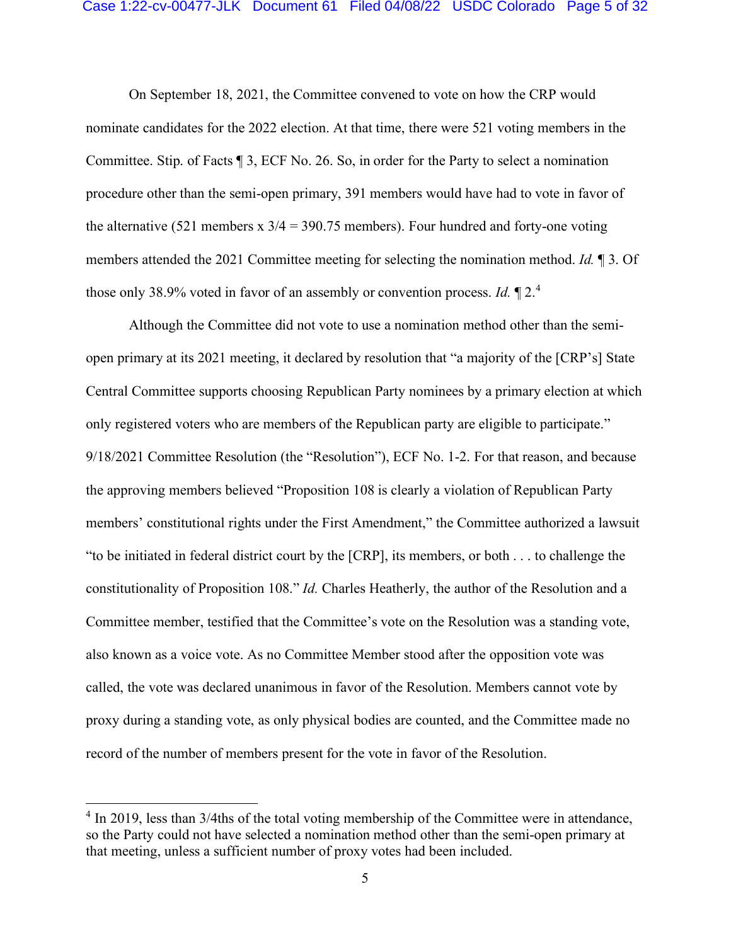## Case 1:22-cv-00477-JLK Document 61 Filed 04/08/22 USDC Colorado Page 5 of 32

On September 18, 2021, the Committee convened to vote on how the CRP would nominate candidates for the 2022 election. At that time, there were 521 voting members in the Committee. Stip. of Facts ¶ 3, ECF No. 26. So, in order for the Party to select a nomination procedure other than the semi-open primary, 391 members would have had to vote in favor of the alternative (521 members  $x$  3/4 = 390.75 members). Four hundred and forty-one voting members attended the 2021 Committee meeting for selecting the nomination method. *Id.* ¶ 3. Of those only 38.9% voted in favor of an assembly or convention process. *Id.* ¶ 2. 4

Although the Committee did not vote to use a nomination method other than the semiopen primary at its 2021 meeting, it declared by resolution that "a majority of the [CRP's] State Central Committee supports choosing Republican Party nominees by a primary election at which only registered voters who are members of the Republican party are eligible to participate." 9/18/2021 Committee Resolution (the "Resolution"), ECF No. 1-2. For that reason, and because the approving members believed "Proposition 108 is clearly a violation of Republican Party members' constitutional rights under the First Amendment," the Committee authorized a lawsuit "to be initiated in federal district court by the [CRP], its members, or both . . . to challenge the constitutionality of Proposition 108." *Id.* Charles Heatherly, the author of the Resolution and a Committee member, testified that the Committee's vote on the Resolution was a standing vote, also known as a voice vote. As no Committee Member stood after the opposition vote was called, the vote was declared unanimous in favor of the Resolution. Members cannot vote by proxy during a standing vote, as only physical bodies are counted, and the Committee made no record of the number of members present for the vote in favor of the Resolution.

<sup>&</sup>lt;sup>4</sup> In 2019, less than 3/4ths of the total voting membership of the Committee were in attendance, so the Party could not have selected a nomination method other than the semi-open primary at that meeting, unless a sufficient number of proxy votes had been included.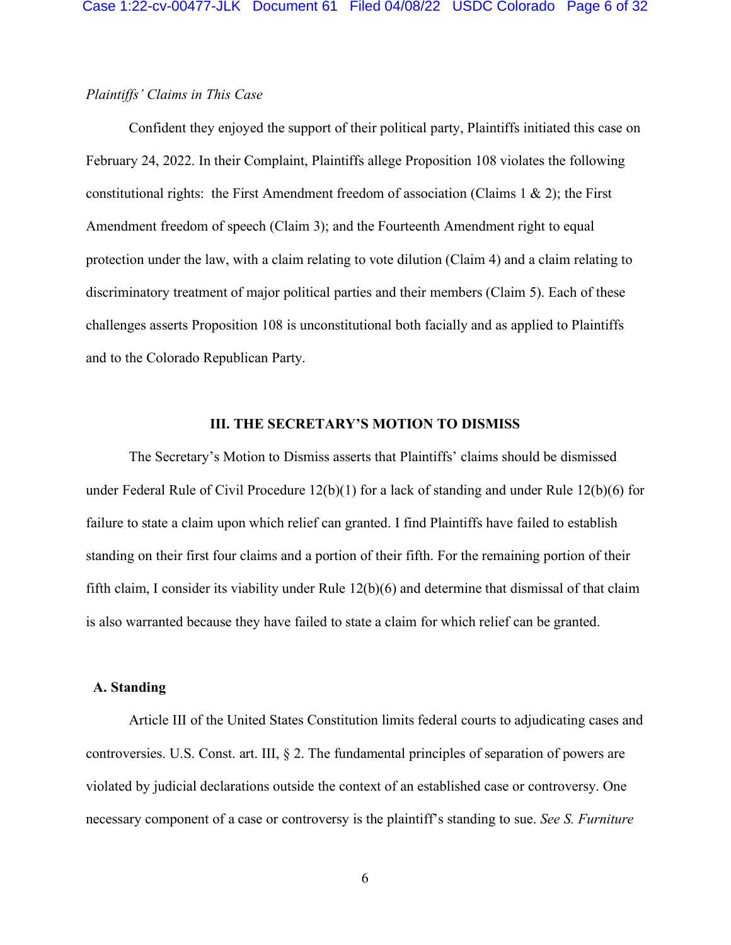# *Plaintiffs' Claims in This Case*

Confident they enjoyed the support of their political party, Plaintiffs initiated this case on February 24, 2022. In their Complaint, Plaintiffs allege Proposition 108 violates the following constitutional rights: the First Amendment freedom of association (Claims  $1 \& 2$ ); the First Amendment freedom of speech (Claim 3); and the Fourteenth Amendment right to equal protection under the law, with a claim relating to vote dilution (Claim 4) and a claim relating to discriminatory treatment of major political parties and their members (Claim 5). Each of these challenges asserts Proposition 108 is unconstitutional both facially and as applied to Plaintiffs and to the Colorado Republican Party.

### **III. THE SECRETARY'S MOTION TO DISMISS**

The Secretary's Motion to Dismiss asserts that Plaintiffs' claims should be dismissed under Federal Rule of Civil Procedure 12(b)(1) for a lack of standing and under Rule 12(b)(6) for failure to state a claim upon which relief can granted. I find Plaintiffs have failed to establish standing on their first four claims and a portion of their fifth. For the remaining portion of their fifth claim, I consider its viability under Rule 12(b)(6) and determine that dismissal of that claim is also warranted because they have failed to state a claim for which relief can be granted.

## **A. Standing**

Article III of the United States Constitution limits federal courts to adjudicating cases and controversies. U.S. Const. art. III, § 2. The fundamental principles of separation of powers are violated by judicial declarations outside the context of an established case or controversy. One necessary component of a case or controversy is the plaintiff's standing to sue. *See S. Furniture*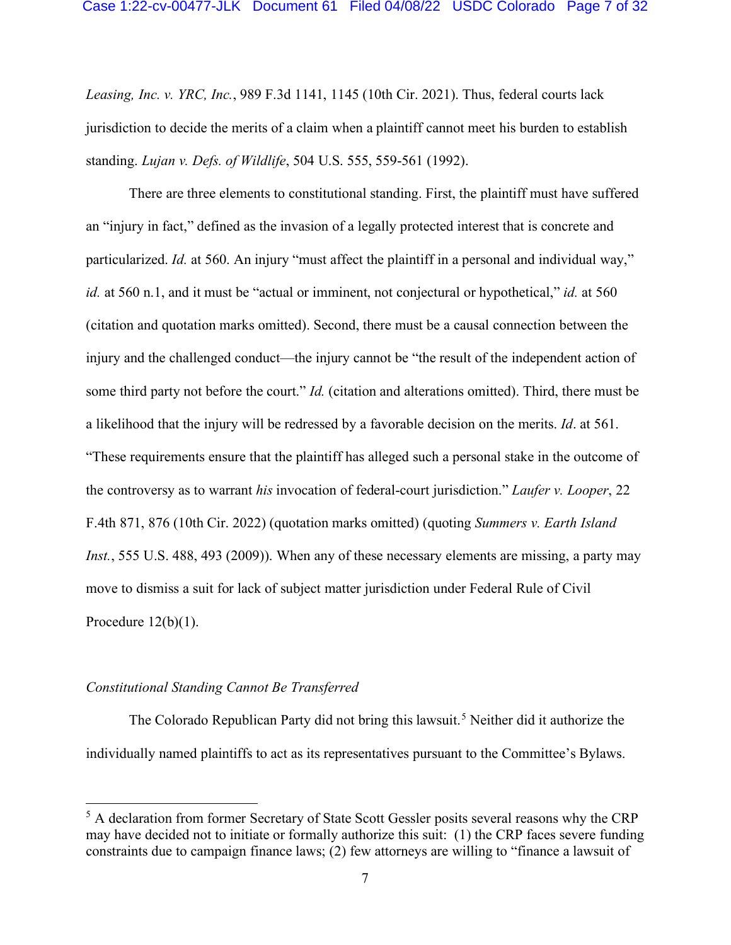*Leasing, Inc. v. YRC, Inc.*, 989 F.3d 1141, 1145 (10th Cir. 2021). Thus, federal courts lack jurisdiction to decide the merits of a claim when a plaintiff cannot meet his burden to establish standing. *Lujan v. Defs. of Wildlife*, 504 U.S. 555, 559-561 (1992).

There are three elements to constitutional standing. First, the plaintiff must have suffered an "injury in fact," defined as the invasion of a legally protected interest that is concrete and particularized. *Id.* at 560. An injury "must affect the plaintiff in a personal and individual way," *id.* at 560 n.1, and it must be "actual or imminent, not conjectural or hypothetical," *id.* at 560 (citation and quotation marks omitted). Second, there must be a causal connection between the injury and the challenged conduct—the injury cannot be "the result of the independent action of some third party not before the court." *Id.* (citation and alterations omitted). Third, there must be a likelihood that the injury will be redressed by a favorable decision on the merits. *Id*. at 561. "These requirements ensure that the plaintiff has alleged such a personal stake in the outcome of the controversy as to warrant *his* invocation of federal-court jurisdiction." *Laufer v. Looper*, 22 F.4th 871, 876 (10th Cir. 2022) (quotation marks omitted) (quoting *Summers v. Earth Island Inst.*, 555 U.S. 488, 493 (2009)). When any of these necessary elements are missing, a party may move to dismiss a suit for lack of subject matter jurisdiction under Federal Rule of Civil Procedure  $12(b)(1)$ .

## *Constitutional Standing Cannot Be Transferred*

The Colorado Republican Party did not bring this lawsuit. <sup>5</sup> Neither did it authorize the individually named plaintiffs to act as its representatives pursuant to the Committee's Bylaws.

<sup>&</sup>lt;sup>5</sup> A declaration from former Secretary of State Scott Gessler posits several reasons why the CRP may have decided not to initiate or formally authorize this suit: (1) the CRP faces severe funding constraints due to campaign finance laws; (2) few attorneys are willing to "finance a lawsuit of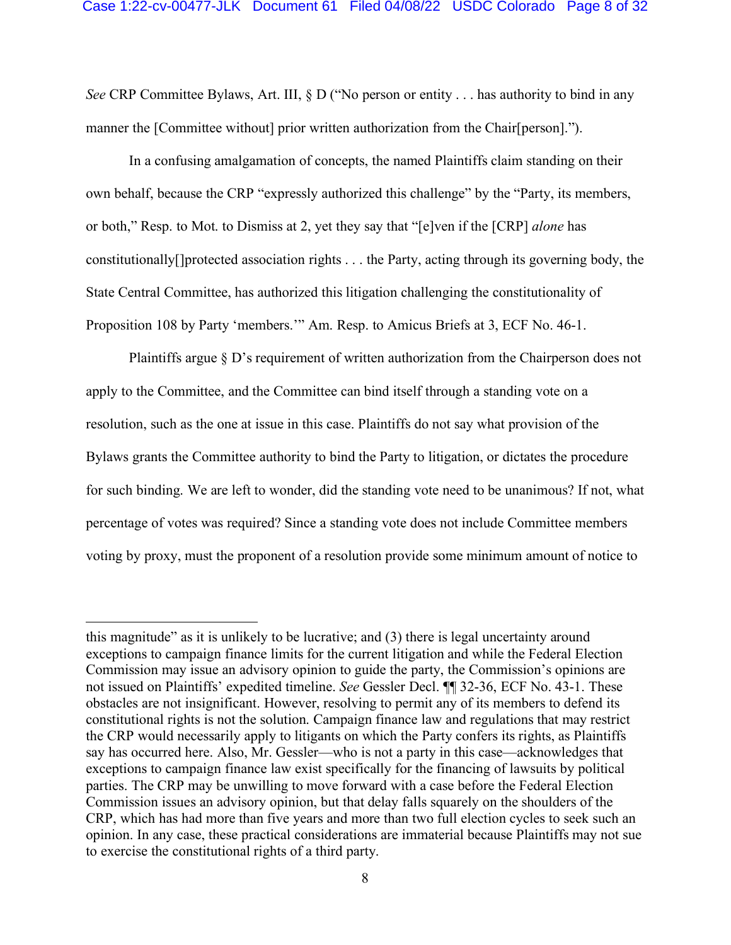*See* CRP Committee Bylaws, Art. III, § D ("No person or entity . . . has authority to bind in any manner the [Committee without] prior written authorization from the Chair[person].").

In a confusing amalgamation of concepts, the named Plaintiffs claim standing on their own behalf, because the CRP "expressly authorized this challenge" by the "Party, its members, or both," Resp. to Mot. to Dismiss at 2, yet they say that "[e]ven if the [CRP] *alone* has constitutionally[]protected association rights . . . the Party, acting through its governing body, the State Central Committee, has authorized this litigation challenging the constitutionality of Proposition 108 by Party 'members.'" Am. Resp. to Amicus Briefs at 3, ECF No. 46-1.

Plaintiffs argue § D's requirement of written authorization from the Chairperson does not apply to the Committee, and the Committee can bind itself through a standing vote on a resolution, such as the one at issue in this case. Plaintiffs do not say what provision of the Bylaws grants the Committee authority to bind the Party to litigation, or dictates the procedure for such binding. We are left to wonder, did the standing vote need to be unanimous? If not, what percentage of votes was required? Since a standing vote does not include Committee members voting by proxy, must the proponent of a resolution provide some minimum amount of notice to

this magnitude" as it is unlikely to be lucrative; and (3) there is legal uncertainty around exceptions to campaign finance limits for the current litigation and while the Federal Election Commission may issue an advisory opinion to guide the party, the Commission's opinions are not issued on Plaintiffs' expedited timeline. *See* Gessler Decl. ¶¶ 32-36, ECF No. 43-1. These obstacles are not insignificant. However, resolving to permit any of its members to defend its constitutional rights is not the solution. Campaign finance law and regulations that may restrict the CRP would necessarily apply to litigants on which the Party confers its rights, as Plaintiffs say has occurred here. Also, Mr. Gessler—who is not a party in this case—acknowledges that exceptions to campaign finance law exist specifically for the financing of lawsuits by political parties. The CRP may be unwilling to move forward with a case before the Federal Election Commission issues an advisory opinion, but that delay falls squarely on the shoulders of the CRP, which has had more than five years and more than two full election cycles to seek such an opinion. In any case, these practical considerations are immaterial because Plaintiffs may not sue to exercise the constitutional rights of a third party.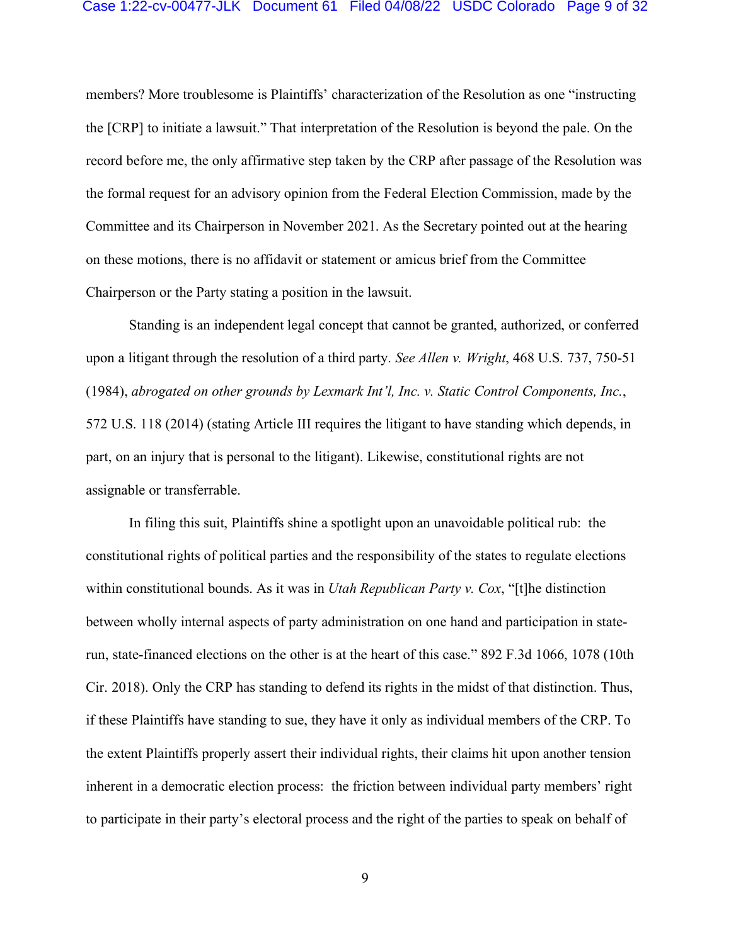#### Case 1:22-cv-00477-JLK Document 61 Filed 04/08/22 USDC Colorado Page 9 of 32

members? More troublesome is Plaintiffs' characterization of the Resolution as one "instructing the [CRP] to initiate a lawsuit." That interpretation of the Resolution is beyond the pale. On the record before me, the only affirmative step taken by the CRP after passage of the Resolution was the formal request for an advisory opinion from the Federal Election Commission, made by the Committee and its Chairperson in November 2021. As the Secretary pointed out at the hearing on these motions, there is no affidavit or statement or amicus brief from the Committee Chairperson or the Party stating a position in the lawsuit.

Standing is an independent legal concept that cannot be granted, authorized, or conferred upon a litigant through the resolution of a third party. *See Allen v. Wright*, 468 U.S. 737, 750-51 (1984), *abrogated on other grounds by Lexmark Int'l, Inc. v. Static Control Components, Inc.*, 572 U.S. 118 (2014) (stating Article III requires the litigant to have standing which depends, in part, on an injury that is personal to the litigant). Likewise, constitutional rights are not assignable or transferrable.

In filing this suit, Plaintiffs shine a spotlight upon an unavoidable political rub: the constitutional rights of political parties and the responsibility of the states to regulate elections within constitutional bounds. As it was in *Utah Republican Party v. Cox*, "[t]he distinction between wholly internal aspects of party administration on one hand and participation in staterun, state-financed elections on the other is at the heart of this case." 892 F.3d 1066, 1078 (10th Cir. 2018). Only the CRP has standing to defend its rights in the midst of that distinction. Thus, if these Plaintiffs have standing to sue, they have it only as individual members of the CRP. To the extent Plaintiffs properly assert their individual rights, their claims hit upon another tension inherent in a democratic election process: the friction between individual party members' right to participate in their party's electoral process and the right of the parties to speak on behalf of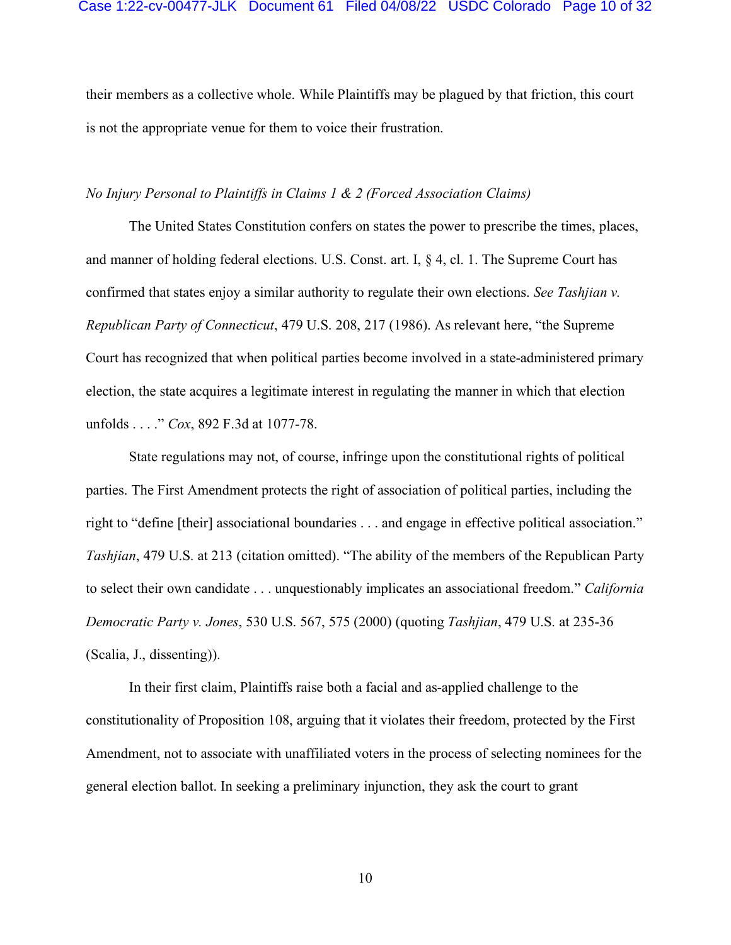their members as a collective whole. While Plaintiffs may be plagued by that friction, this court is not the appropriate venue for them to voice their frustration.

## *No Injury Personal to Plaintiffs in Claims 1 & 2 (Forced Association Claims)*

The United States Constitution confers on states the power to prescribe the times, places, and manner of holding federal elections. U.S. Const. art. I, § 4, cl. 1. The Supreme Court has confirmed that states enjoy a similar authority to regulate their own elections. *See Tashjian v. Republican Party of Connecticut*, 479 U.S. 208, 217 (1986). As relevant here, "the Supreme Court has recognized that when political parties become involved in a state-administered primary election, the state acquires a legitimate interest in regulating the manner in which that election unfolds . . . ." *Cox*, 892 F.3d at 1077-78.

State regulations may not, of course, infringe upon the constitutional rights of political parties. The First Amendment protects the right of association of political parties, including the right to "define [their] associational boundaries . . . and engage in effective political association." *Tashjian*, 479 U.S. at 213 (citation omitted). "The ability of the members of the Republican Party to select their own candidate . . . unquestionably implicates an associational freedom." *California Democratic Party v. Jones*, 530 U.S. 567, 575 (2000) (quoting *Tashjian*, 479 U.S. at 235-36 (Scalia, J., dissenting)).

In their first claim, Plaintiffs raise both a facial and as-applied challenge to the constitutionality of Proposition 108, arguing that it violates their freedom, protected by the First Amendment, not to associate with unaffiliated voters in the process of selecting nominees for the general election ballot. In seeking a preliminary injunction, they ask the court to grant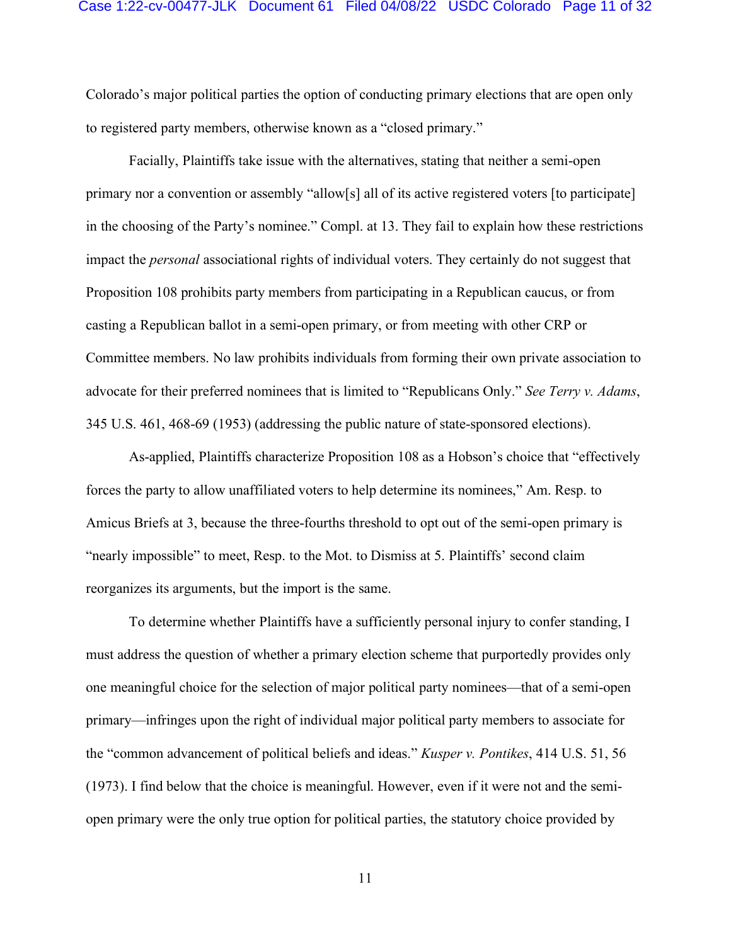#### Case 1:22-cv-00477-JLK Document 61 Filed 04/08/22 USDC Colorado Page 11 of 32

Colorado's major political parties the option of conducting primary elections that are open only to registered party members, otherwise known as a "closed primary."

Facially, Plaintiffs take issue with the alternatives, stating that neither a semi-open primary nor a convention or assembly "allow[s] all of its active registered voters [to participate] in the choosing of the Party's nominee." Compl. at 13. They fail to explain how these restrictions impact the *personal* associational rights of individual voters. They certainly do not suggest that Proposition 108 prohibits party members from participating in a Republican caucus, or from casting a Republican ballot in a semi-open primary, or from meeting with other CRP or Committee members. No law prohibits individuals from forming their own private association to advocate for their preferred nominees that is limited to "Republicans Only." *See Terry v. Adams*, 345 U.S. 461, 468-69 (1953) (addressing the public nature of state-sponsored elections).

As-applied, Plaintiffs characterize Proposition 108 as a Hobson's choice that "effectively forces the party to allow unaffiliated voters to help determine its nominees," Am. Resp. to Amicus Briefs at 3, because the three-fourths threshold to opt out of the semi-open primary is "nearly impossible" to meet, Resp. to the Mot. to Dismiss at 5. Plaintiffs' second claim reorganizes its arguments, but the import is the same.

To determine whether Plaintiffs have a sufficiently personal injury to confer standing, I must address the question of whether a primary election scheme that purportedly provides only one meaningful choice for the selection of major political party nominees—that of a semi-open primary—infringes upon the right of individual major political party members to associate for the "common advancement of political beliefs and ideas." *Kusper v. Pontikes*, 414 U.S. 51, 56 (1973). I find below that the choice is meaningful. However, even if it were not and the semiopen primary were the only true option for political parties, the statutory choice provided by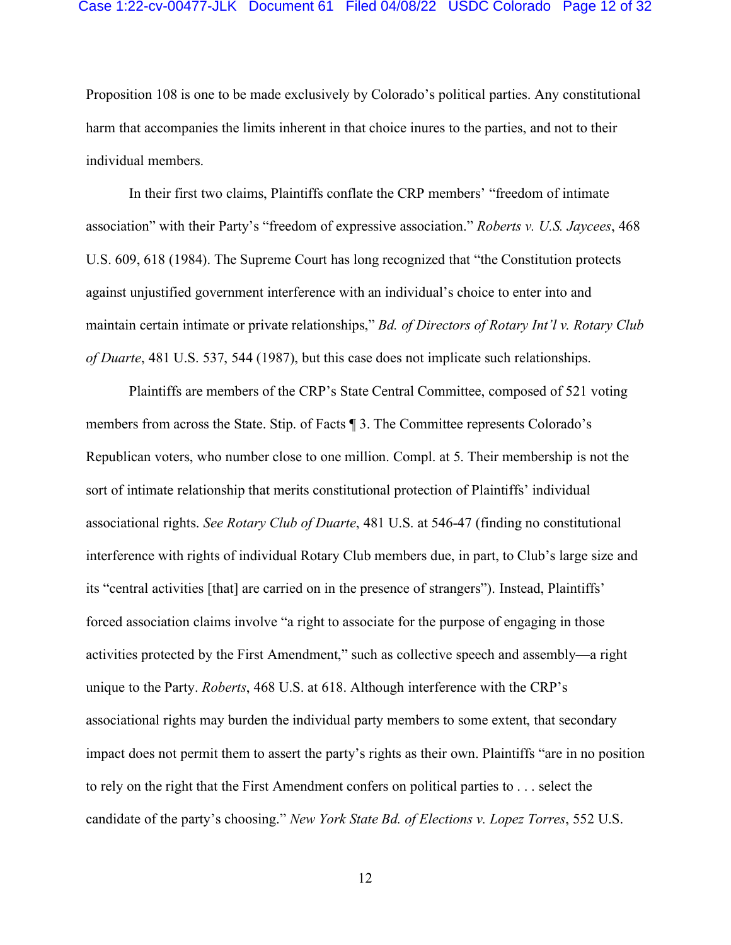#### Case 1:22-cv-00477-JLK Document 61 Filed 04/08/22 USDC Colorado Page 12 of 32

Proposition 108 is one to be made exclusively by Colorado's political parties. Any constitutional harm that accompanies the limits inherent in that choice inures to the parties, and not to their individual members.

In their first two claims, Plaintiffs conflate the CRP members' "freedom of intimate association" with their Party's "freedom of expressive association." *Roberts v. U.S. Jaycees*, 468 U.S. 609, 618 (1984). The Supreme Court has long recognized that "the Constitution protects against unjustified government interference with an individual's choice to enter into and maintain certain intimate or private relationships," *Bd. of Directors of Rotary Int'l v. Rotary Club of Duarte*, 481 U.S. 537, 544 (1987), but this case does not implicate such relationships.

Plaintiffs are members of the CRP's State Central Committee, composed of 521 voting members from across the State. Stip. of Facts ¶ 3. The Committee represents Colorado's Republican voters, who number close to one million. Compl. at 5. Their membership is not the sort of intimate relationship that merits constitutional protection of Plaintiffs' individual associational rights. *See Rotary Club of Duarte*, 481 U.S. at 546-47 (finding no constitutional interference with rights of individual Rotary Club members due, in part, to Club's large size and its "central activities [that] are carried on in the presence of strangers"). Instead, Plaintiffs' forced association claims involve "a right to associate for the purpose of engaging in those activities protected by the First Amendment," such as collective speech and assembly—a right unique to the Party. *Roberts*, 468 U.S. at 618. Although interference with the CRP's associational rights may burden the individual party members to some extent, that secondary impact does not permit them to assert the party's rights as their own. Plaintiffs "are in no position to rely on the right that the First Amendment confers on political parties to . . . select the candidate of the party's choosing." *New York State Bd. of Elections v. Lopez Torres*, 552 U.S.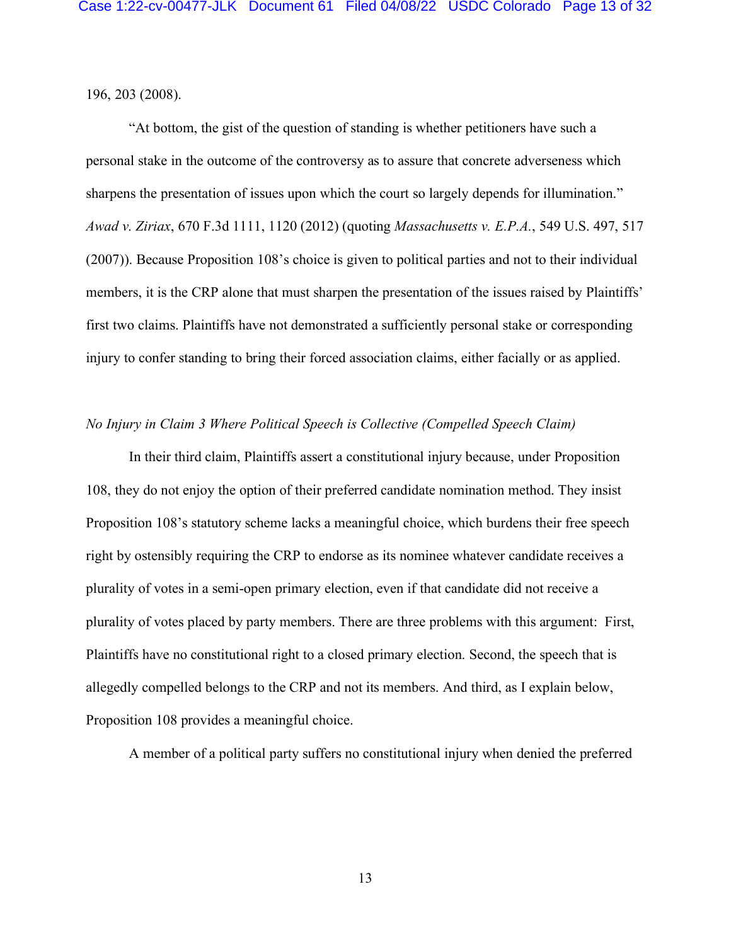196, 203 (2008).

"At bottom, the gist of the question of standing is whether petitioners have such a personal stake in the outcome of the controversy as to assure that concrete adverseness which sharpens the presentation of issues upon which the court so largely depends for illumination." *Awad v. Ziriax*, 670 F.3d 1111, 1120 (2012) (quoting *Massachusetts v. E.P.A.*, 549 U.S. 497, 517 (2007)). Because Proposition 108's choice is given to political parties and not to their individual members, it is the CRP alone that must sharpen the presentation of the issues raised by Plaintiffs' first two claims. Plaintiffs have not demonstrated a sufficiently personal stake or corresponding injury to confer standing to bring their forced association claims, either facially or as applied.

## *No Injury in Claim 3 Where Political Speech is Collective (Compelled Speech Claim)*

In their third claim, Plaintiffs assert a constitutional injury because, under Proposition 108, they do not enjoy the option of their preferred candidate nomination method. They insist Proposition 108's statutory scheme lacks a meaningful choice, which burdens their free speech right by ostensibly requiring the CRP to endorse as its nominee whatever candidate receives a plurality of votes in a semi-open primary election, even if that candidate did not receive a plurality of votes placed by party members. There are three problems with this argument: First, Plaintiffs have no constitutional right to a closed primary election. Second, the speech that is allegedly compelled belongs to the CRP and not its members. And third, as I explain below, Proposition 108 provides a meaningful choice.

A member of a political party suffers no constitutional injury when denied the preferred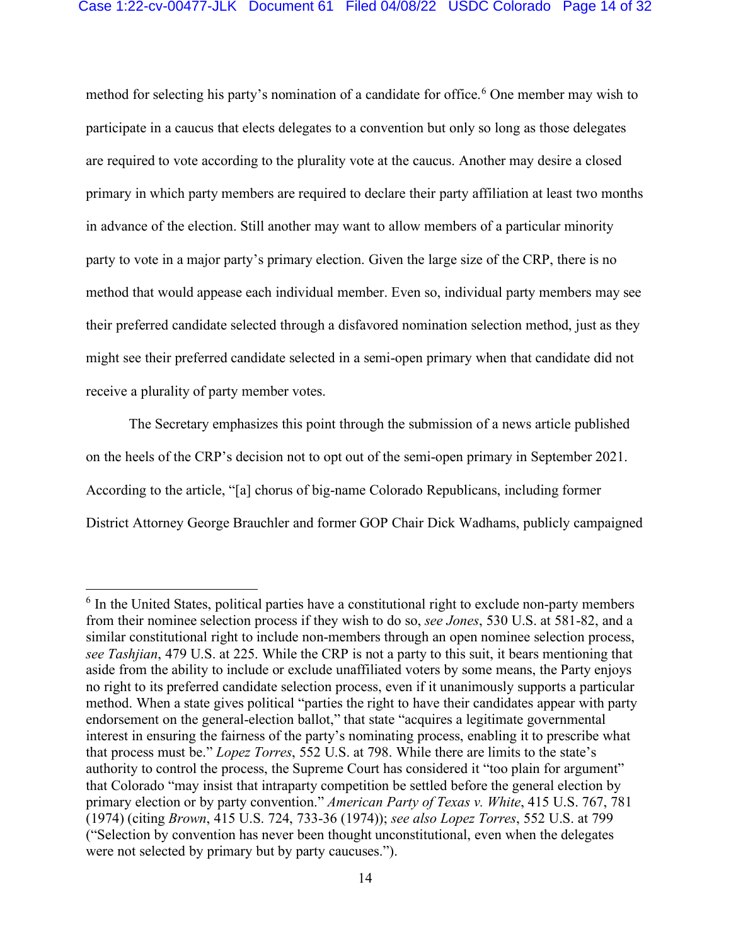## Case 1:22-cv-00477-JLK Document 61 Filed 04/08/22 USDC Colorado Page 14 of 32

method for selecting his party's nomination of a candidate for office.<sup>6</sup> One member may wish to participate in a caucus that elects delegates to a convention but only so long as those delegates are required to vote according to the plurality vote at the caucus. Another may desire a closed primary in which party members are required to declare their party affiliation at least two months in advance of the election. Still another may want to allow members of a particular minority party to vote in a major party's primary election. Given the large size of the CRP, there is no method that would appease each individual member. Even so, individual party members may see their preferred candidate selected through a disfavored nomination selection method, just as they might see their preferred candidate selected in a semi-open primary when that candidate did not receive a plurality of party member votes.

The Secretary emphasizes this point through the submission of a news article published on the heels of the CRP's decision not to opt out of the semi-open primary in September 2021. According to the article, "[a] chorus of big-name Colorado Republicans, including former District Attorney George Brauchler and former GOP Chair Dick Wadhams, publicly campaigned

 $6$  In the United States, political parties have a constitutional right to exclude non-party members from their nominee selection process if they wish to do so, *see Jones*, 530 U.S. at 581-82, and a similar constitutional right to include non-members through an open nominee selection process, *see Tashjian*, 479 U.S. at 225. While the CRP is not a party to this suit, it bears mentioning that aside from the ability to include or exclude unaffiliated voters by some means, the Party enjoys no right to its preferred candidate selection process, even if it unanimously supports a particular method. When a state gives political "parties the right to have their candidates appear with party endorsement on the general-election ballot," that state "acquires a legitimate governmental interest in ensuring the fairness of the party's nominating process, enabling it to prescribe what that process must be." *Lopez Torres*, 552 U.S. at 798. While there are limits to the state's authority to control the process, the Supreme Court has considered it "too plain for argument" that Colorado "may insist that intraparty competition be settled before the general election by primary election or by party convention." *American Party of Texas v. White*, 415 U.S. 767, 781 (1974) (citing *Brown*, 415 U.S. 724, 733-36 (1974)); *see also Lopez Torres*, 552 U.S. at 799 ("Selection by convention has never been thought unconstitutional, even when the delegates were not selected by primary but by party caucuses.").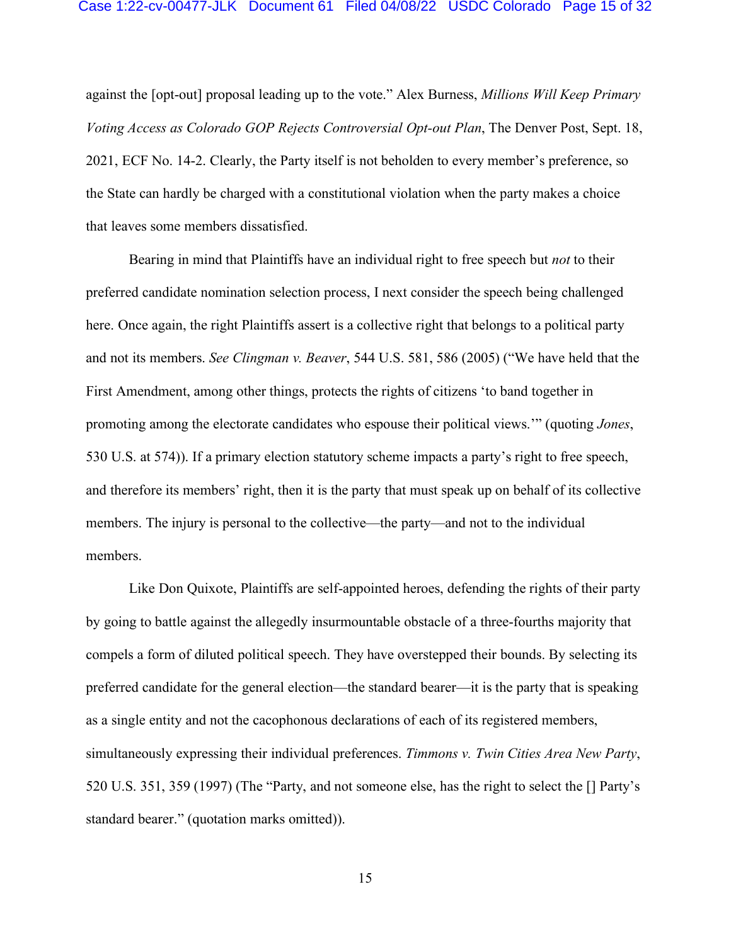#### Case 1:22-cv-00477-JLK Document 61 Filed 04/08/22 USDC Colorado Page 15 of 32

against the [opt-out] proposal leading up to the vote." Alex Burness, *Millions Will Keep Primary Voting Access as Colorado GOP Rejects Controversial Opt-out Plan*, The Denver Post, Sept. 18, 2021, ECF No. 14-2. Clearly, the Party itself is not beholden to every member's preference, so the State can hardly be charged with a constitutional violation when the party makes a choice that leaves some members dissatisfied.

Bearing in mind that Plaintiffs have an individual right to free speech but *not* to their preferred candidate nomination selection process, I next consider the speech being challenged here. Once again, the right Plaintiffs assert is a collective right that belongs to a political party and not its members. *See Clingman v. Beaver*, 544 U.S. 581, 586 (2005) ("We have held that the First Amendment, among other things, protects the rights of citizens 'to band together in promoting among the electorate candidates who espouse their political views.'" (quoting *Jones*, 530 U.S. at 574)). If a primary election statutory scheme impacts a party's right to free speech, and therefore its members' right, then it is the party that must speak up on behalf of its collective members. The injury is personal to the collective—the party—and not to the individual members.

Like Don Quixote, Plaintiffs are self-appointed heroes, defending the rights of their party by going to battle against the allegedly insurmountable obstacle of a three-fourths majority that compels a form of diluted political speech. They have overstepped their bounds. By selecting its preferred candidate for the general election—the standard bearer—it is the party that is speaking as a single entity and not the cacophonous declarations of each of its registered members, simultaneously expressing their individual preferences. *Timmons v. Twin Cities Area New Party*, 520 U.S. 351, 359 (1997) (The "Party, and not someone else, has the right to select the [] Party's standard bearer." (quotation marks omitted)).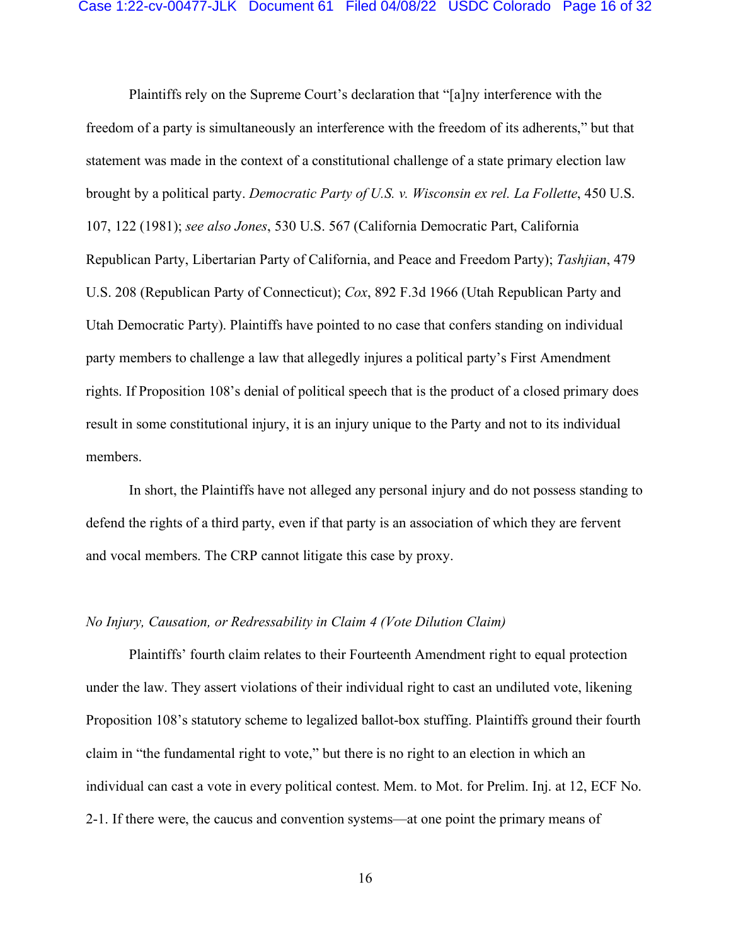Plaintiffs rely on the Supreme Court's declaration that "[a]ny interference with the freedom of a party is simultaneously an interference with the freedom of its adherents," but that statement was made in the context of a constitutional challenge of a state primary election law brought by a political party. *Democratic Party of U.S. v. Wisconsin ex rel. La Follette*, 450 U.S. 107, 122 (1981); *see also Jones*, 530 U.S. 567 (California Democratic Part, California Republican Party, Libertarian Party of California, and Peace and Freedom Party); *Tashjian*, 479 U.S. 208 (Republican Party of Connecticut); *Cox*, 892 F.3d 1966 (Utah Republican Party and Utah Democratic Party). Plaintiffs have pointed to no case that confers standing on individual party members to challenge a law that allegedly injures a political party's First Amendment rights. If Proposition 108's denial of political speech that is the product of a closed primary does result in some constitutional injury, it is an injury unique to the Party and not to its individual members.

In short, the Plaintiffs have not alleged any personal injury and do not possess standing to defend the rights of a third party, even if that party is an association of which they are fervent and vocal members. The CRP cannot litigate this case by proxy.

## *No Injury, Causation, or Redressability in Claim 4 (Vote Dilution Claim)*

Plaintiffs' fourth claim relates to their Fourteenth Amendment right to equal protection under the law. They assert violations of their individual right to cast an undiluted vote, likening Proposition 108's statutory scheme to legalized ballot-box stuffing. Plaintiffs ground their fourth claim in "the fundamental right to vote," but there is no right to an election in which an individual can cast a vote in every political contest. Mem. to Mot. for Prelim. Inj. at 12, ECF No. 2-1. If there were, the caucus and convention systems—at one point the primary means of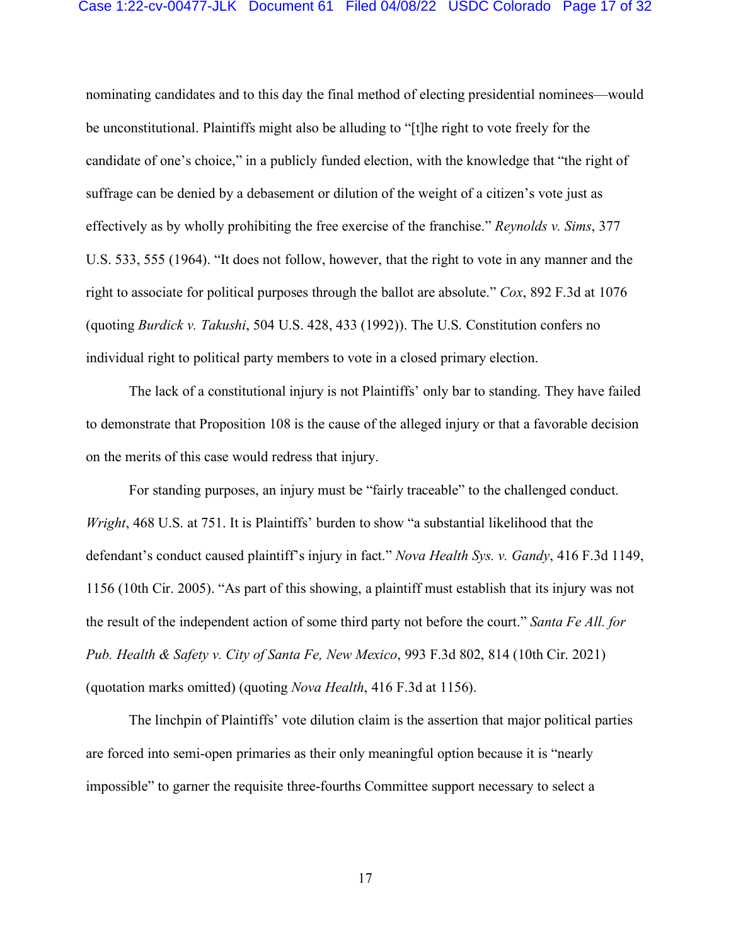#### Case 1:22-cv-00477-JLK Document 61 Filed 04/08/22 USDC Colorado Page 17 of 32

nominating candidates and to this day the final method of electing presidential nominees—would be unconstitutional. Plaintiffs might also be alluding to "[t]he right to vote freely for the candidate of one's choice," in a publicly funded election, with the knowledge that "the right of suffrage can be denied by a debasement or dilution of the weight of a citizen's vote just as effectively as by wholly prohibiting the free exercise of the franchise." *Reynolds v. Sims*, 377 U.S. 533, 555 (1964). "It does not follow, however, that the right to vote in any manner and the right to associate for political purposes through the ballot are absolute." *Cox*, 892 F.3d at 1076 (quoting *Burdick v. Takushi*, 504 U.S. 428, 433 (1992)). The U.S. Constitution confers no individual right to political party members to vote in a closed primary election.

The lack of a constitutional injury is not Plaintiffs' only bar to standing. They have failed to demonstrate that Proposition 108 is the cause of the alleged injury or that a favorable decision on the merits of this case would redress that injury.

For standing purposes, an injury must be "fairly traceable" to the challenged conduct. *Wright*, 468 U.S. at 751. It is Plaintiffs' burden to show "a substantial likelihood that the defendant's conduct caused plaintiff's injury in fact." *Nova Health Sys. v. Gandy*, 416 F.3d 1149, 1156 (10th Cir. 2005). "As part of this showing, a plaintiff must establish that its injury was not the result of the independent action of some third party not before the court." *Santa Fe All. for Pub. Health & Safety v. City of Santa Fe, New Mexico*, 993 F.3d 802, 814 (10th Cir. 2021) (quotation marks omitted) (quoting *Nova Health*, 416 F.3d at 1156).

The linchpin of Plaintiffs' vote dilution claim is the assertion that major political parties are forced into semi-open primaries as their only meaningful option because it is "nearly impossible" to garner the requisite three-fourths Committee support necessary to select a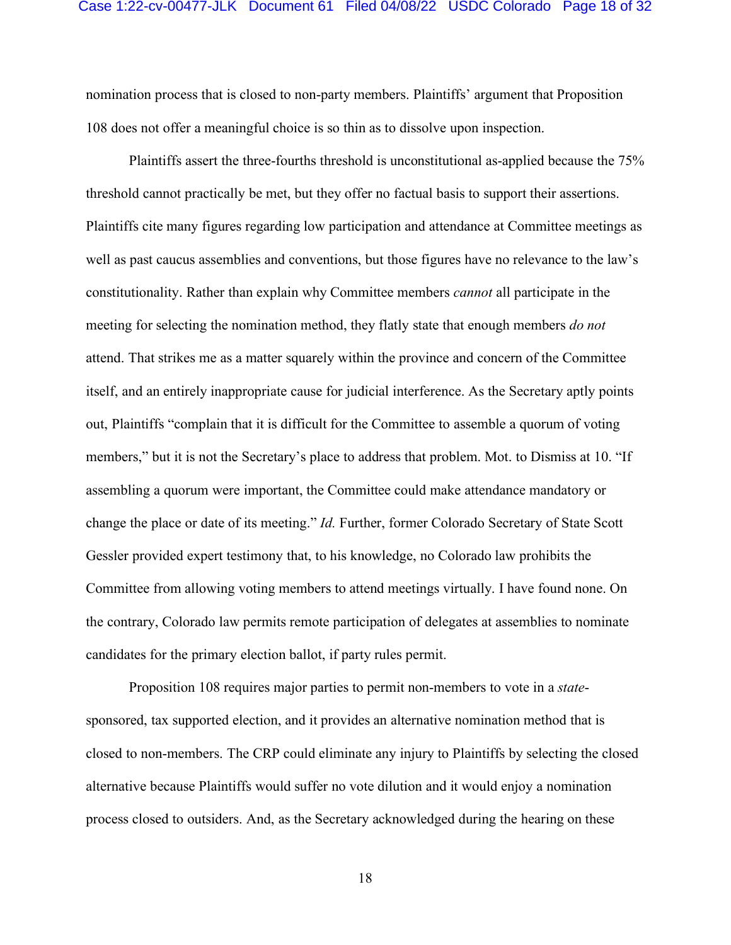#### Case 1:22-cv-00477-JLK Document 61 Filed 04/08/22 USDC Colorado Page 18 of 32

nomination process that is closed to non-party members. Plaintiffs' argument that Proposition 108 does not offer a meaningful choice is so thin as to dissolve upon inspection.

Plaintiffs assert the three-fourths threshold is unconstitutional as-applied because the 75% threshold cannot practically be met, but they offer no factual basis to support their assertions. Plaintiffs cite many figures regarding low participation and attendance at Committee meetings as well as past caucus assemblies and conventions, but those figures have no relevance to the law's constitutionality. Rather than explain why Committee members *cannot* all participate in the meeting for selecting the nomination method, they flatly state that enough members *do not* attend. That strikes me as a matter squarely within the province and concern of the Committee itself, and an entirely inappropriate cause for judicial interference. As the Secretary aptly points out, Plaintiffs "complain that it is difficult for the Committee to assemble a quorum of voting members," but it is not the Secretary's place to address that problem. Mot. to Dismiss at 10. "If assembling a quorum were important, the Committee could make attendance mandatory or change the place or date of its meeting." *Id.* Further, former Colorado Secretary of State Scott Gessler provided expert testimony that, to his knowledge, no Colorado law prohibits the Committee from allowing voting members to attend meetings virtually. I have found none. On the contrary, Colorado law permits remote participation of delegates at assemblies to nominate candidates for the primary election ballot, if party rules permit.

Proposition 108 requires major parties to permit non-members to vote in a *state*sponsored, tax supported election, and it provides an alternative nomination method that is closed to non-members. The CRP could eliminate any injury to Plaintiffs by selecting the closed alternative because Plaintiffs would suffer no vote dilution and it would enjoy a nomination process closed to outsiders. And, as the Secretary acknowledged during the hearing on these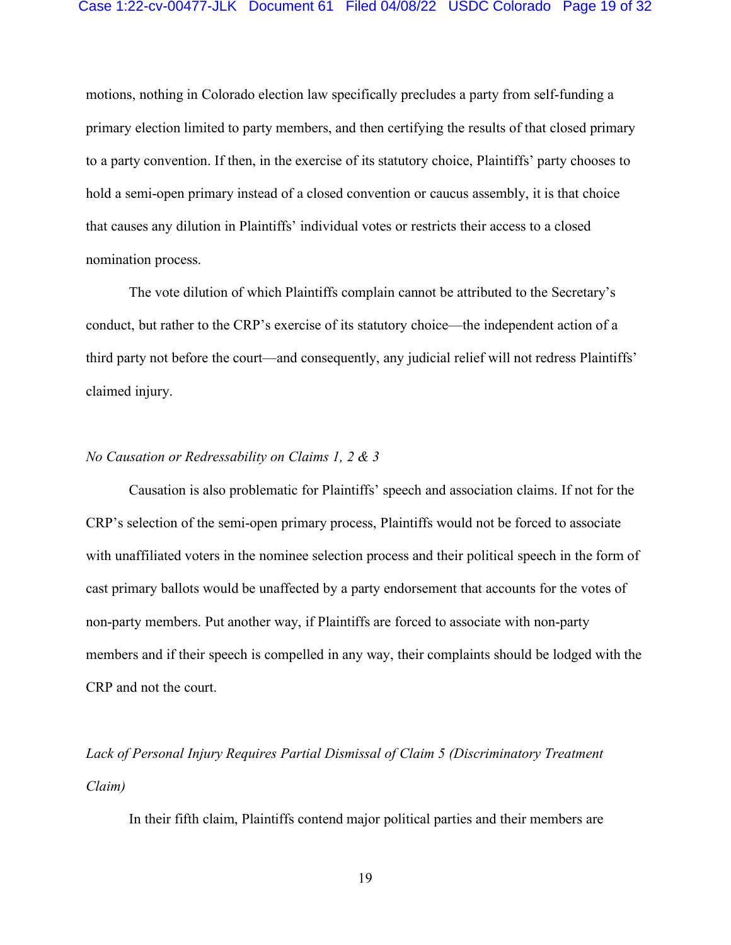#### Case 1:22-cv-00477-JLK Document 61 Filed 04/08/22 USDC Colorado Page 19 of 32

motions, nothing in Colorado election law specifically precludes a party from self-funding a primary election limited to party members, and then certifying the results of that closed primary to a party convention. If then, in the exercise of its statutory choice, Plaintiffs' party chooses to hold a semi-open primary instead of a closed convention or caucus assembly, it is that choice that causes any dilution in Plaintiffs' individual votes or restricts their access to a closed nomination process.

The vote dilution of which Plaintiffs complain cannot be attributed to the Secretary's conduct, but rather to the CRP's exercise of its statutory choice—the independent action of a third party not before the court—and consequently, any judicial relief will not redress Plaintiffs' claimed injury.

## *No Causation or Redressability on Claims 1, 2 & 3*

Causation is also problematic for Plaintiffs' speech and association claims. If not for the CRP's selection of the semi-open primary process, Plaintiffs would not be forced to associate with unaffiliated voters in the nominee selection process and their political speech in the form of cast primary ballots would be unaffected by a party endorsement that accounts for the votes of non-party members. Put another way, if Plaintiffs are forced to associate with non-party members and if their speech is compelled in any way, their complaints should be lodged with the CRP and not the court.

*Lack of Personal Injury Requires Partial Dismissal of Claim 5 (Discriminatory Treatment Claim)*

In their fifth claim, Plaintiffs contend major political parties and their members are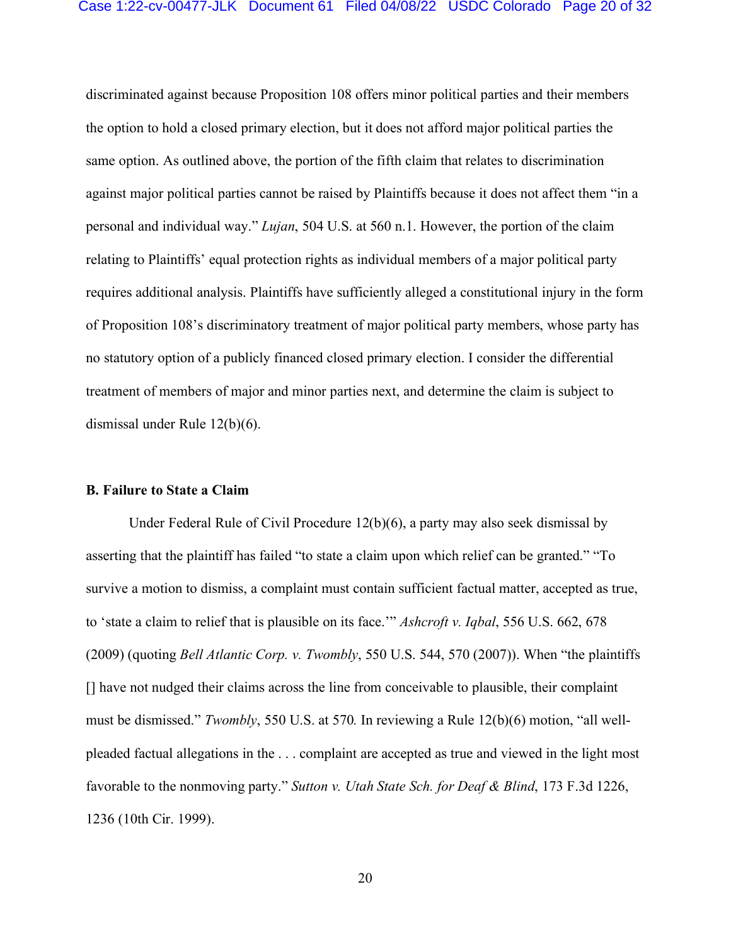#### Case 1:22-cv-00477-JLK Document 61 Filed 04/08/22 USDC Colorado Page 20 of 32

discriminated against because Proposition 108 offers minor political parties and their members the option to hold a closed primary election, but it does not afford major political parties the same option. As outlined above, the portion of the fifth claim that relates to discrimination against major political parties cannot be raised by Plaintiffs because it does not affect them "in a personal and individual way." *Lujan*, 504 U.S. at 560 n.1. However, the portion of the claim relating to Plaintiffs' equal protection rights as individual members of a major political party requires additional analysis. Plaintiffs have sufficiently alleged a constitutional injury in the form of Proposition 108's discriminatory treatment of major political party members, whose party has no statutory option of a publicly financed closed primary election. I consider the differential treatment of members of major and minor parties next, and determine the claim is subject to dismissal under Rule 12(b)(6).

### **B. Failure to State a Claim**

Under Federal Rule of Civil Procedure 12(b)(6), a party may also seek dismissal by asserting that the plaintiff has failed "to state a claim upon which relief can be granted." "To survive a motion to dismiss, a complaint must contain sufficient factual matter, accepted as true, to 'state a claim to relief that is plausible on its face.'" *Ashcroft v. Iqbal*, 556 U.S. 662, 678 (2009) (quoting *Bell Atlantic Corp. v. Twombly*, 550 U.S. 544, 570 (2007)). When "the plaintiffs [] have not nudged their claims across the line from conceivable to plausible, their complaint must be dismissed." *Twombly*, 550 U.S. at 570*.* In reviewing a Rule 12(b)(6) motion, "all wellpleaded factual allegations in the . . . complaint are accepted as true and viewed in the light most favorable to the nonmoving party." *Sutton v. Utah State Sch. for Deaf & Blind*, 173 F.3d 1226, 1236 (10th Cir. 1999).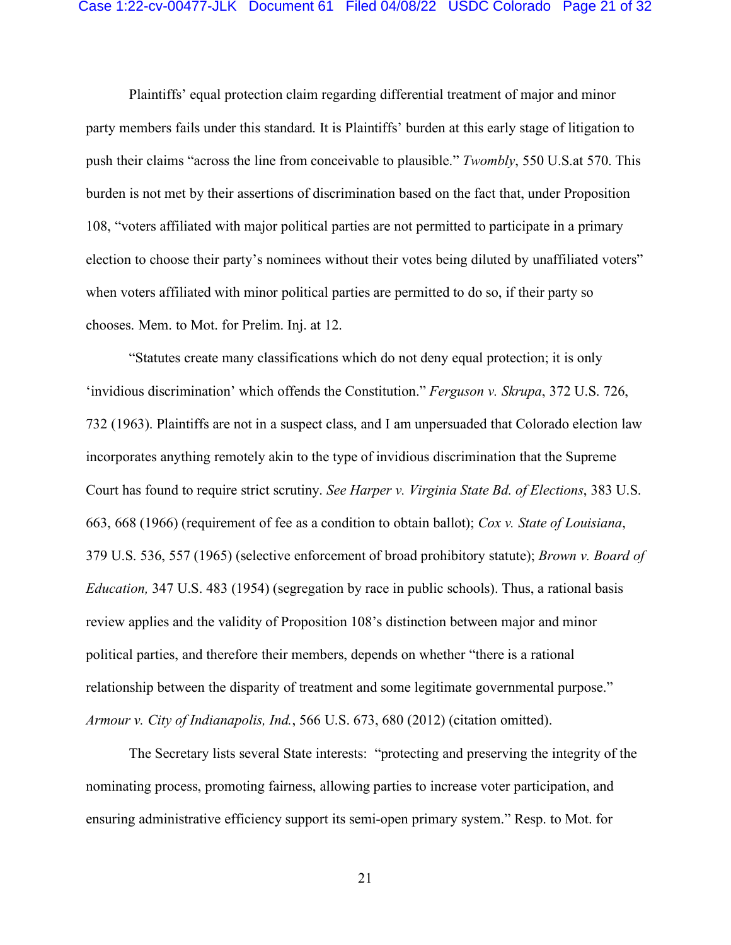#### Case 1:22-cv-00477-JLK Document 61 Filed 04/08/22 USDC Colorado Page 21 of 32

Plaintiffs' equal protection claim regarding differential treatment of major and minor party members fails under this standard. It is Plaintiffs' burden at this early stage of litigation to push their claims "across the line from conceivable to plausible." *Twombly*, 550 U.S.at 570. This burden is not met by their assertions of discrimination based on the fact that, under Proposition 108, "voters affiliated with major political parties are not permitted to participate in a primary election to choose their party's nominees without their votes being diluted by unaffiliated voters" when voters affiliated with minor political parties are permitted to do so, if their party so chooses. Mem. to Mot. for Prelim. Inj. at 12.

"Statutes create many classifications which do not deny equal protection; it is only 'invidious discrimination' which offends the Constitution." *Ferguson v. Skrupa*, 372 U.S. 726, 732 (1963). Plaintiffs are not in a suspect class, and I am unpersuaded that Colorado election law incorporates anything remotely akin to the type of invidious discrimination that the Supreme Court has found to require strict scrutiny. *See Harper v. Virginia State Bd. of Elections*, 383 U.S. 663, 668 (1966) (requirement of fee as a condition to obtain ballot); *Cox v. State of Louisiana*, 379 U.S. 536, 557 (1965) (selective enforcement of broad prohibitory statute); *Brown v. Board of Education,* 347 U.S. 483 (1954) (segregation by race in public schools). Thus, a rational basis review applies and the validity of Proposition 108's distinction between major and minor political parties, and therefore their members, depends on whether "there is a rational relationship between the disparity of treatment and some legitimate governmental purpose." *Armour v. City of Indianapolis, Ind.*, 566 U.S. 673, 680 (2012) (citation omitted).

The Secretary lists several State interests: "protecting and preserving the integrity of the nominating process, promoting fairness, allowing parties to increase voter participation, and ensuring administrative efficiency support its semi-open primary system." Resp. to Mot. for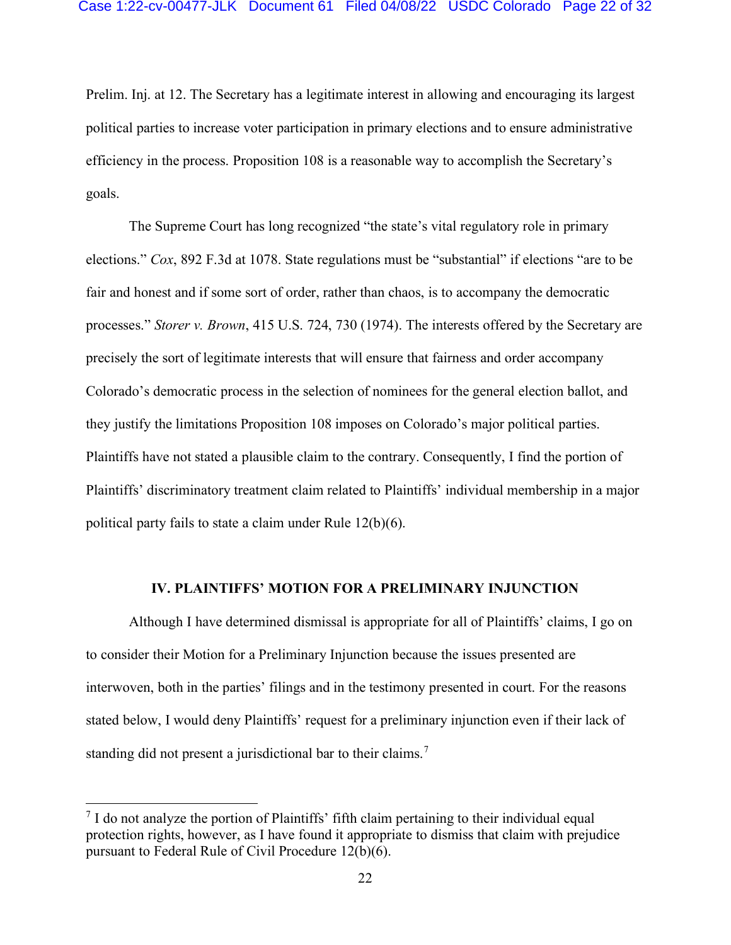Prelim. Inj. at 12. The Secretary has a legitimate interest in allowing and encouraging its largest political parties to increase voter participation in primary elections and to ensure administrative efficiency in the process. Proposition 108 is a reasonable way to accomplish the Secretary's goals.

The Supreme Court has long recognized "the state's vital regulatory role in primary elections." *Cox*, 892 F.3d at 1078. State regulations must be "substantial" if elections "are to be fair and honest and if some sort of order, rather than chaos, is to accompany the democratic processes." *Storer v. Brown*, 415 U.S. 724, 730 (1974). The interests offered by the Secretary are precisely the sort of legitimate interests that will ensure that fairness and order accompany Colorado's democratic process in the selection of nominees for the general election ballot, and they justify the limitations Proposition 108 imposes on Colorado's major political parties. Plaintiffs have not stated a plausible claim to the contrary. Consequently, I find the portion of Plaintiffs' discriminatory treatment claim related to Plaintiffs' individual membership in a major political party fails to state a claim under Rule 12(b)(6).

## **IV. PLAINTIFFS' MOTION FOR A PRELIMINARY INJUNCTION**

Although I have determined dismissal is appropriate for all of Plaintiffs' claims, I go on to consider their Motion for a Preliminary Injunction because the issues presented are interwoven, both in the parties' filings and in the testimony presented in court. For the reasons stated below, I would deny Plaintiffs' request for a preliminary injunction even if their lack of standing did not present a jurisdictional bar to their claims.<sup>7</sup>

 $<sup>7</sup>$  I do not analyze the portion of Plaintiffs' fifth claim pertaining to their individual equal</sup> protection rights, however, as I have found it appropriate to dismiss that claim with prejudice pursuant to Federal Rule of Civil Procedure 12(b)(6).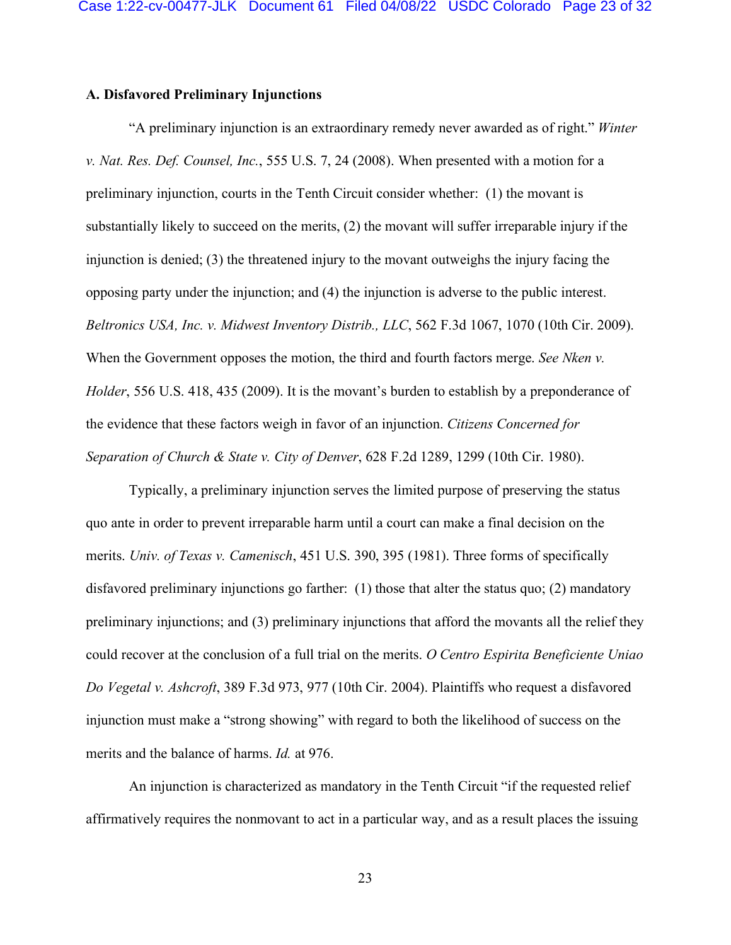## **A. Disfavored Preliminary Injunctions**

"A preliminary injunction is an extraordinary remedy never awarded as of right." *Winter v. Nat. Res. Def. Counsel, Inc.*, 555 U.S. 7, 24 (2008). When presented with a motion for a preliminary injunction, courts in the Tenth Circuit consider whether: (1) the movant is substantially likely to succeed on the merits, (2) the movant will suffer irreparable injury if the injunction is denied; (3) the threatened injury to the movant outweighs the injury facing the opposing party under the injunction; and (4) the injunction is adverse to the public interest. *Beltronics USA, Inc. v. Midwest Inventory Distrib., LLC*, 562 F.3d 1067, 1070 (10th Cir. 2009). When the Government opposes the motion, the third and fourth factors merge. *See Nken v. Holder*, 556 U.S. 418, 435 (2009). It is the movant's burden to establish by a preponderance of the evidence that these factors weigh in favor of an injunction. *Citizens Concerned for Separation of Church & State v. City of Denver*, 628 F.2d 1289, 1299 (10th Cir. 1980).

Typically, a preliminary injunction serves the limited purpose of preserving the status quo ante in order to prevent irreparable harm until a court can make a final decision on the merits. *Univ. of Texas v. Camenisch*, 451 U.S. 390, 395 (1981). Three forms of specifically disfavored preliminary injunctions go farther: (1) those that alter the status quo; (2) mandatory preliminary injunctions; and (3) preliminary injunctions that afford the movants all the relief they could recover at the conclusion of a full trial on the merits. *O Centro Espirita Beneficiente Uniao Do Vegetal v. Ashcroft*, 389 F.3d 973, 977 (10th Cir. 2004). Plaintiffs who request a disfavored injunction must make a "strong showing" with regard to both the likelihood of success on the merits and the balance of harms. *Id.* at 976.

An injunction is characterized as mandatory in the Tenth Circuit "if the requested relief affirmatively requires the nonmovant to act in a particular way, and as a result places the issuing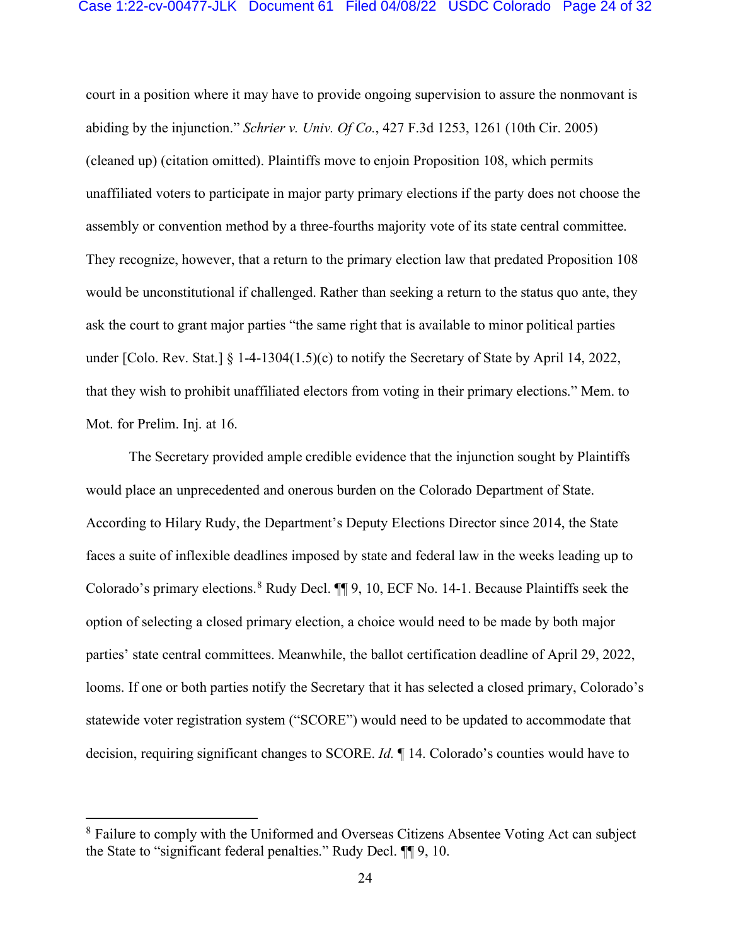#### Case 1:22-cv-00477-JLK Document 61 Filed 04/08/22 USDC Colorado Page 24 of 32

court in a position where it may have to provide ongoing supervision to assure the nonmovant is abiding by the injunction." *Schrier v. Univ. Of Co.*, 427 F.3d 1253, 1261 (10th Cir. 2005) (cleaned up) (citation omitted). Plaintiffs move to enjoin Proposition 108, which permits unaffiliated voters to participate in major party primary elections if the party does not choose the assembly or convention method by a three-fourths majority vote of its state central committee. They recognize, however, that a return to the primary election law that predated Proposition 108 would be unconstitutional if challenged. Rather than seeking a return to the status quo ante, they ask the court to grant major parties "the same right that is available to minor political parties under [Colo. Rev. Stat.] § 1-4-1304(1.5)(c) to notify the Secretary of State by April 14, 2022, that they wish to prohibit unaffiliated electors from voting in their primary elections." Mem. to Mot. for Prelim. Inj. at 16.

The Secretary provided ample credible evidence that the injunction sought by Plaintiffs would place an unprecedented and onerous burden on the Colorado Department of State. According to Hilary Rudy, the Department's Deputy Elections Director since 2014, the State faces a suite of inflexible deadlines imposed by state and federal law in the weeks leading up to Colorado's primary elections.<sup>8</sup> Rudy Decl. **[1]** 9, 10, ECF No. 14-1. Because Plaintiffs seek the option of selecting a closed primary election, a choice would need to be made by both major parties' state central committees. Meanwhile, the ballot certification deadline of April 29, 2022, looms. If one or both parties notify the Secretary that it has selected a closed primary, Colorado's statewide voter registration system ("SCORE") would need to be updated to accommodate that decision, requiring significant changes to SCORE. *Id.* ¶ 14. Colorado's counties would have to

<sup>&</sup>lt;sup>8</sup> Failure to comply with the Uniformed and Overseas Citizens Absentee Voting Act can subject the State to "significant federal penalties." Rudy Decl. ¶¶ 9, 10.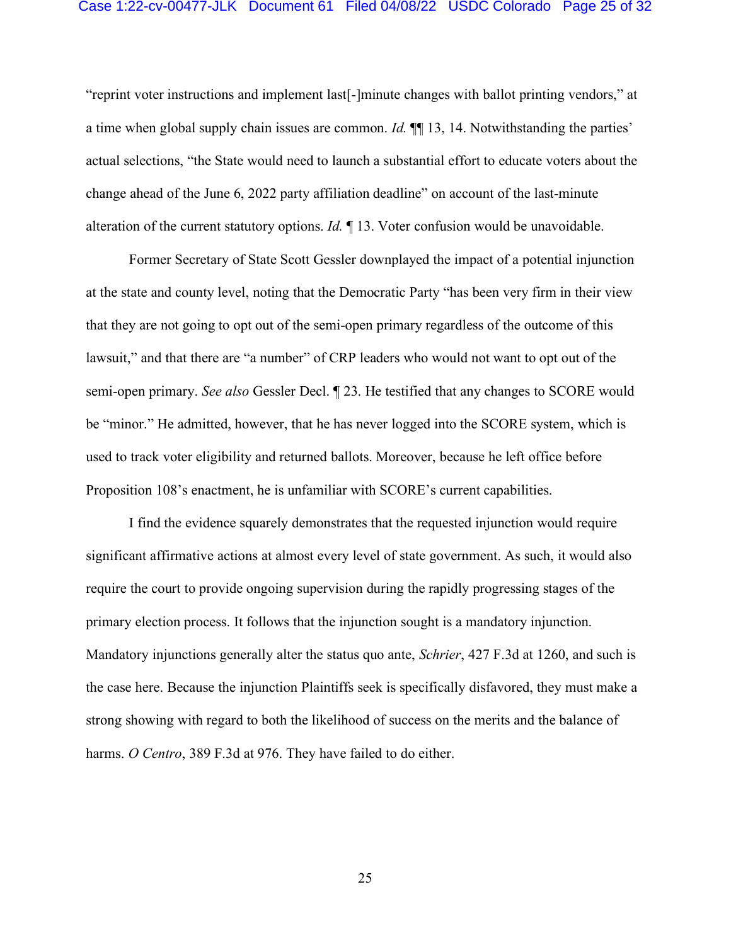### Case 1:22-cv-00477-JLK Document 61 Filed 04/08/22 USDC Colorado Page 25 of 32

"reprint voter instructions and implement last[-]minute changes with ballot printing vendors," at a time when global supply chain issues are common. *Id.* ¶¶ 13, 14. Notwithstanding the parties' actual selections, "the State would need to launch a substantial effort to educate voters about the change ahead of the June 6, 2022 party affiliation deadline" on account of the last-minute alteration of the current statutory options. *Id.* ¶ 13. Voter confusion would be unavoidable.

Former Secretary of State Scott Gessler downplayed the impact of a potential injunction at the state and county level, noting that the Democratic Party "has been very firm in their view that they are not going to opt out of the semi-open primary regardless of the outcome of this lawsuit," and that there are "a number" of CRP leaders who would not want to opt out of the semi-open primary. *See also* Gessler Decl. ¶ 23. He testified that any changes to SCORE would be "minor." He admitted, however, that he has never logged into the SCORE system, which is used to track voter eligibility and returned ballots. Moreover, because he left office before Proposition 108's enactment, he is unfamiliar with SCORE's current capabilities.

I find the evidence squarely demonstrates that the requested injunction would require significant affirmative actions at almost every level of state government. As such, it would also require the court to provide ongoing supervision during the rapidly progressing stages of the primary election process. It follows that the injunction sought is a mandatory injunction. Mandatory injunctions generally alter the status quo ante, *Schrier*, 427 F.3d at 1260, and such is the case here. Because the injunction Plaintiffs seek is specifically disfavored, they must make a strong showing with regard to both the likelihood of success on the merits and the balance of harms. *O Centro*, 389 F.3d at 976. They have failed to do either.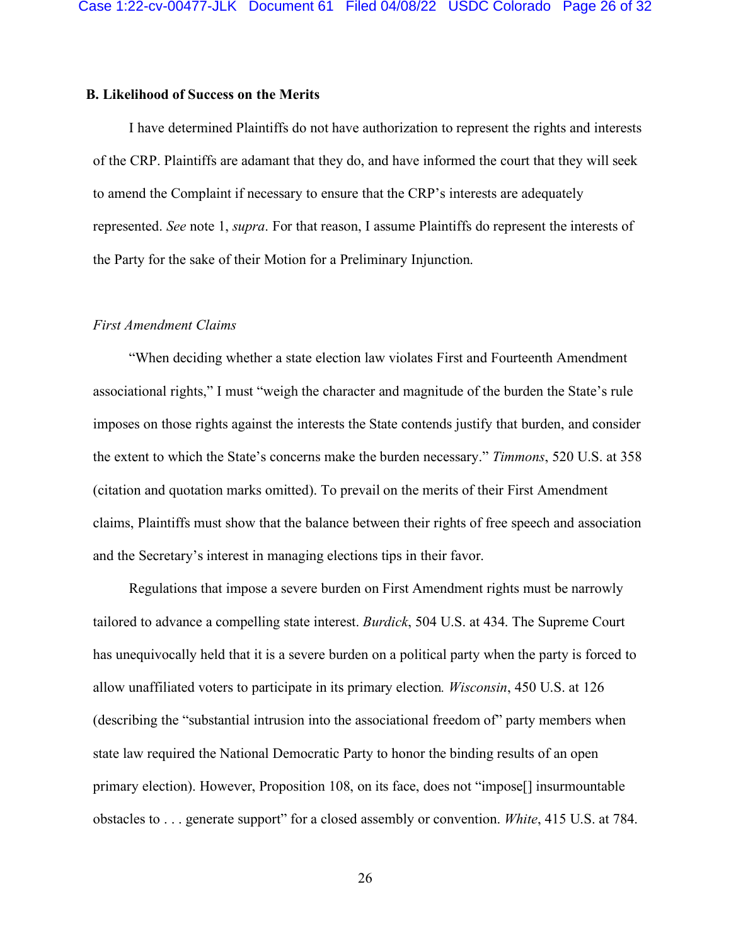## **B. Likelihood of Success on the Merits**

I have determined Plaintiffs do not have authorization to represent the rights and interests of the CRP. Plaintiffs are adamant that they do, and have informed the court that they will seek to amend the Complaint if necessary to ensure that the CRP's interests are adequately represented. *See* note 1, *supra*. For that reason, I assume Plaintiffs do represent the interests of the Party for the sake of their Motion for a Preliminary Injunction.

### *First Amendment Claims*

"When deciding whether a state election law violates First and Fourteenth Amendment associational rights," I must "weigh the character and magnitude of the burden the State's rule imposes on those rights against the interests the State contends justify that burden, and consider the extent to which the State's concerns make the burden necessary." *Timmons*, 520 U.S. at 358 (citation and quotation marks omitted). To prevail on the merits of their First Amendment claims, Plaintiffs must show that the balance between their rights of free speech and association and the Secretary's interest in managing elections tips in their favor.

Regulations that impose a severe burden on First Amendment rights must be narrowly tailored to advance a compelling state interest. *Burdick*, 504 U.S. at 434. The Supreme Court has unequivocally held that it is a severe burden on a political party when the party is forced to allow unaffiliated voters to participate in its primary election*. Wisconsin*, 450 U.S. at 126 (describing the "substantial intrusion into the associational freedom of" party members when state law required the National Democratic Party to honor the binding results of an open primary election). However, Proposition 108, on its face, does not "impose[] insurmountable obstacles to . . . generate support" for a closed assembly or convention. *White*, 415 U.S. at 784.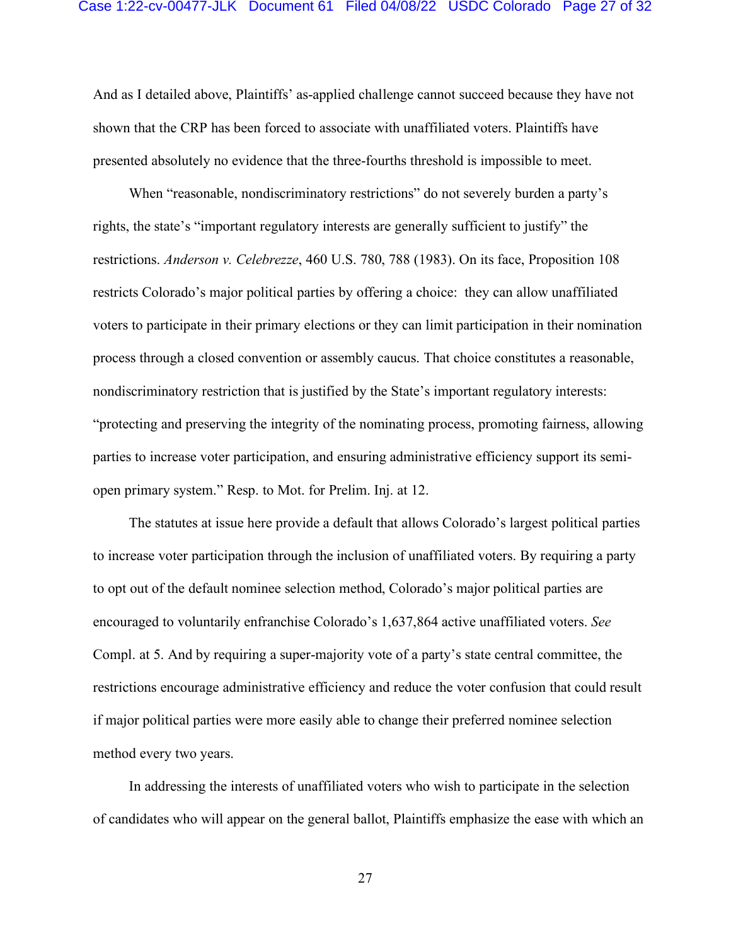#### Case 1:22-cv-00477-JLK Document 61 Filed 04/08/22 USDC Colorado Page 27 of 32

And as I detailed above, Plaintiffs' as-applied challenge cannot succeed because they have not shown that the CRP has been forced to associate with unaffiliated voters. Plaintiffs have presented absolutely no evidence that the three-fourths threshold is impossible to meet.

When "reasonable, nondiscriminatory restrictions" do not severely burden a party's rights, the state's "important regulatory interests are generally sufficient to justify" the restrictions. *Anderson v. Celebrezze*, 460 U.S. 780, 788 (1983). On its face, Proposition 108 restricts Colorado's major political parties by offering a choice: they can allow unaffiliated voters to participate in their primary elections or they can limit participation in their nomination process through a closed convention or assembly caucus. That choice constitutes a reasonable, nondiscriminatory restriction that is justified by the State's important regulatory interests: "protecting and preserving the integrity of the nominating process, promoting fairness, allowing parties to increase voter participation, and ensuring administrative efficiency support its semiopen primary system." Resp. to Mot. for Prelim. Inj. at 12.

The statutes at issue here provide a default that allows Colorado's largest political parties to increase voter participation through the inclusion of unaffiliated voters. By requiring a party to opt out of the default nominee selection method, Colorado's major political parties are encouraged to voluntarily enfranchise Colorado's 1,637,864 active unaffiliated voters. *See*  Compl. at 5. And by requiring a super-majority vote of a party's state central committee, the restrictions encourage administrative efficiency and reduce the voter confusion that could result if major political parties were more easily able to change their preferred nominee selection method every two years.

In addressing the interests of unaffiliated voters who wish to participate in the selection of candidates who will appear on the general ballot, Plaintiffs emphasize the ease with which an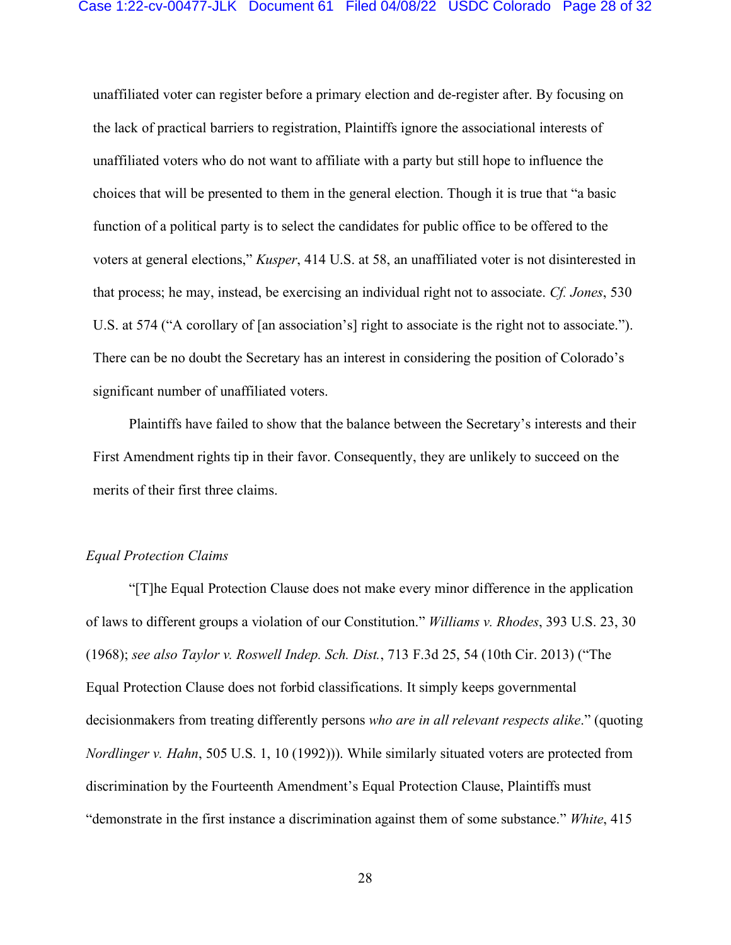unaffiliated voter can register before a primary election and de-register after. By focusing on the lack of practical barriers to registration, Plaintiffs ignore the associational interests of unaffiliated voters who do not want to affiliate with a party but still hope to influence the choices that will be presented to them in the general election. Though it is true that "a basic function of a political party is to select the candidates for public office to be offered to the voters at general elections," *Kusper*, 414 U.S. at 58, an unaffiliated voter is not disinterested in that process; he may, instead, be exercising an individual right not to associate. *Cf. Jones*, 530 U.S. at 574 ("A corollary of [an association's] right to associate is the right not to associate."). There can be no doubt the Secretary has an interest in considering the position of Colorado's significant number of unaffiliated voters.

Plaintiffs have failed to show that the balance between the Secretary's interests and their First Amendment rights tip in their favor. Consequently, they are unlikely to succeed on the merits of their first three claims.

## *Equal Protection Claims*

"[T]he Equal Protection Clause does not make every minor difference in the application of laws to different groups a violation of our Constitution." *Williams v. Rhodes*, 393 U.S. 23, 30 (1968); *see also Taylor v. Roswell Indep. Sch. Dist.*, 713 F.3d 25, 54 (10th Cir. 2013) ("The Equal Protection Clause does not forbid classifications. It simply keeps governmental decisionmakers from treating differently persons *who are in all relevant respects alike*." (quoting *Nordlinger v. Hahn*, 505 U.S. 1, 10 (1992))). While similarly situated voters are protected from discrimination by the Fourteenth Amendment's Equal Protection Clause, Plaintiffs must "demonstrate in the first instance a discrimination against them of some substance." *White*, 415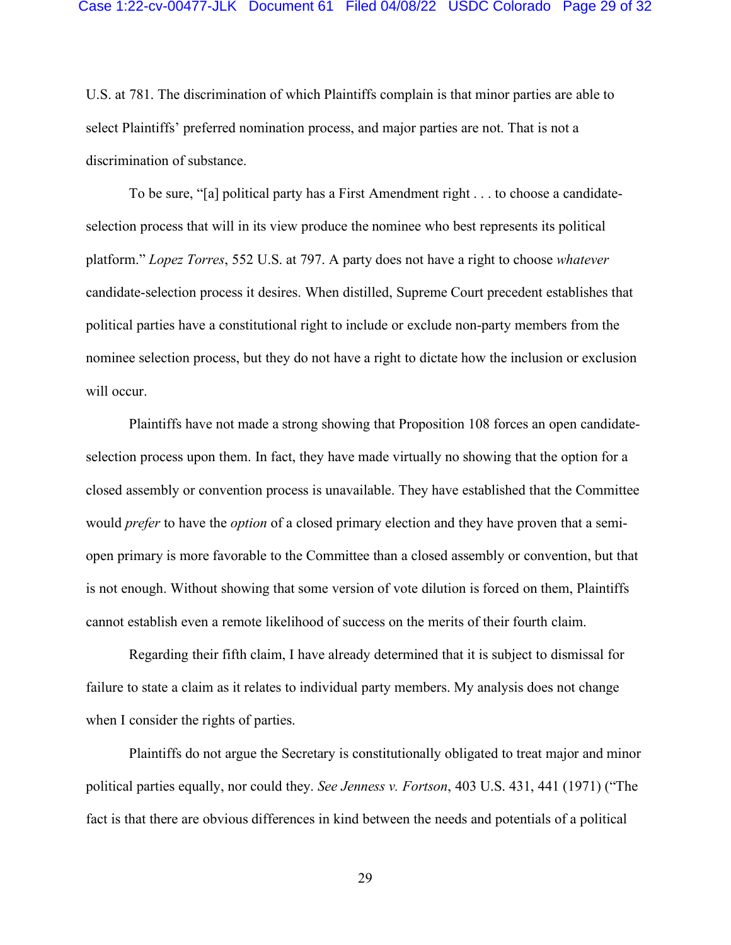#### Case 1:22-cv-00477-JLK Document 61 Filed 04/08/22 USDC Colorado Page 29 of 32

U.S. at 781. The discrimination of which Plaintiffs complain is that minor parties are able to select Plaintiffs' preferred nomination process, and major parties are not. That is not a discrimination of substance.

To be sure, "[a] political party has a First Amendment right . . . to choose a candidateselection process that will in its view produce the nominee who best represents its political platform." *Lopez Torres*, 552 U.S. at 797. A party does not have a right to choose *whatever* candidate-selection process it desires. When distilled, Supreme Court precedent establishes that political parties have a constitutional right to include or exclude non-party members from the nominee selection process, but they do not have a right to dictate how the inclusion or exclusion will occur.

Plaintiffs have not made a strong showing that Proposition 108 forces an open candidateselection process upon them. In fact, they have made virtually no showing that the option for a closed assembly or convention process is unavailable. They have established that the Committee would *prefer* to have the *option* of a closed primary election and they have proven that a semiopen primary is more favorable to the Committee than a closed assembly or convention, but that is not enough. Without showing that some version of vote dilution is forced on them, Plaintiffs cannot establish even a remote likelihood of success on the merits of their fourth claim.

Regarding their fifth claim, I have already determined that it is subject to dismissal for failure to state a claim as it relates to individual party members. My analysis does not change when I consider the rights of parties.

Plaintiffs do not argue the Secretary is constitutionally obligated to treat major and minor political parties equally, nor could they. *See Jenness v. Fortson*, 403 U.S. 431, 441 (1971) ("The fact is that there are obvious differences in kind between the needs and potentials of a political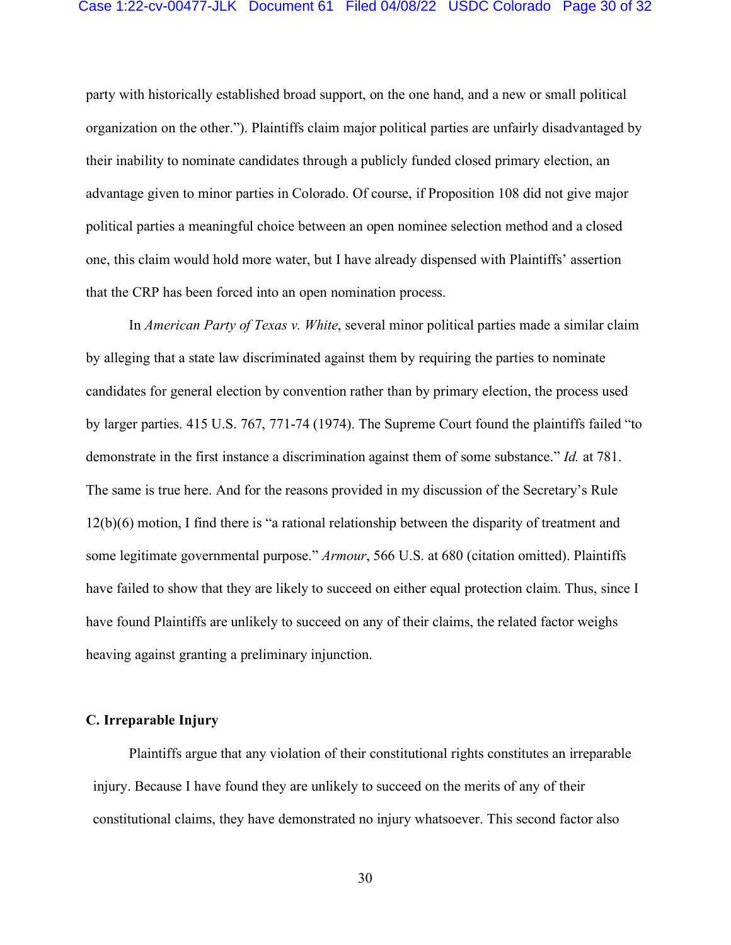# Case 1:22-cv-00477-JLK Document 61 Filed 04/08/22 USDC Colorado Page 30 of 32

party with historically established broad support, on the one hand, and a new or small political organization on the other."). Plaintiffs claim major political parties are unfairly disadvantaged by their inability to nominate candidates through a publicly funded closed primary election, an advantage given to minor parties in Colorado. Of course, if Proposition 108 did not give major political parties a meaningful choice between an open nominee selection method and a closed one, this claim would hold more water, but I have already dispensed with Plaintiffs' assertion that the CRP has been forced into an open nomination process.

In *American Party of Texas v. White*, several minor political parties made a similar claim by alleging that a state law discriminated against them by requiring the parties to nominate candidates for general election by convention rather than by primary election, the process used by larger parties. 415 U.S. 767, 771-74 (1974). The Supreme Court found the plaintiffs failed "to demonstrate in the first instance a discrimination against them of some substance." *Id.* at 781. The same is true here. And for the reasons provided in my discussion of the Secretary's Rule 12(b)(6) motion, I find there is "a rational relationship between the disparity of treatment and some legitimate governmental purpose." *Armour*, 566 U.S. at 680 (citation omitted). Plaintiffs have failed to show that they are likely to succeed on either equal protection claim. Thus, since I have found Plaintiffs are unlikely to succeed on any of their claims, the related factor weighs heaving against granting a preliminary injunction.

### **C. Irreparable Injury**

Plaintiffs argue that any violation of their constitutional rights constitutes an irreparable injury. Because I have found they are unlikely to succeed on the merits of any of their constitutional claims, they have demonstrated no injury whatsoever. This second factor also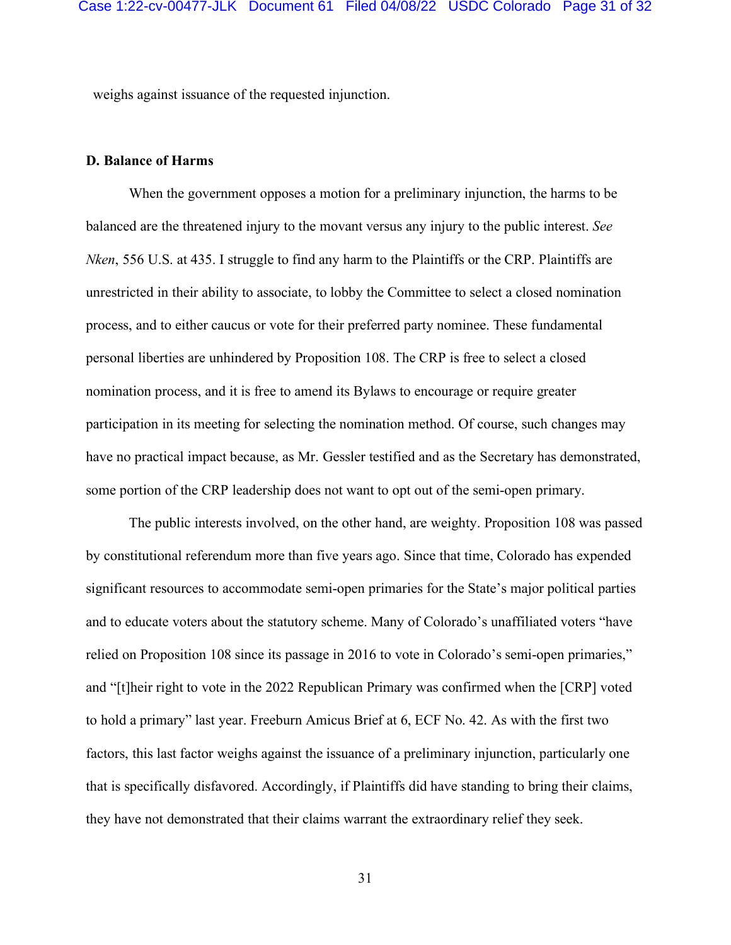weighs against issuance of the requested injunction.

### **D. Balance of Harms**

When the government opposes a motion for a preliminary injunction, the harms to be balanced are the threatened injury to the movant versus any injury to the public interest. *See Nken*, 556 U.S. at 435. I struggle to find any harm to the Plaintiffs or the CRP. Plaintiffs are unrestricted in their ability to associate, to lobby the Committee to select a closed nomination process, and to either caucus or vote for their preferred party nominee. These fundamental personal liberties are unhindered by Proposition 108. The CRP is free to select a closed nomination process, and it is free to amend its Bylaws to encourage or require greater participation in its meeting for selecting the nomination method. Of course, such changes may have no practical impact because, as Mr. Gessler testified and as the Secretary has demonstrated, some portion of the CRP leadership does not want to opt out of the semi-open primary.

The public interests involved, on the other hand, are weighty. Proposition 108 was passed by constitutional referendum more than five years ago. Since that time, Colorado has expended significant resources to accommodate semi-open primaries for the State's major political parties and to educate voters about the statutory scheme. Many of Colorado's unaffiliated voters "have relied on Proposition 108 since its passage in 2016 to vote in Colorado's semi-open primaries," and "[t]heir right to vote in the 2022 Republican Primary was confirmed when the [CRP] voted to hold a primary" last year. Freeburn Amicus Brief at 6, ECF No. 42. As with the first two factors, this last factor weighs against the issuance of a preliminary injunction, particularly one that is specifically disfavored. Accordingly, if Plaintiffs did have standing to bring their claims, they have not demonstrated that their claims warrant the extraordinary relief they seek.